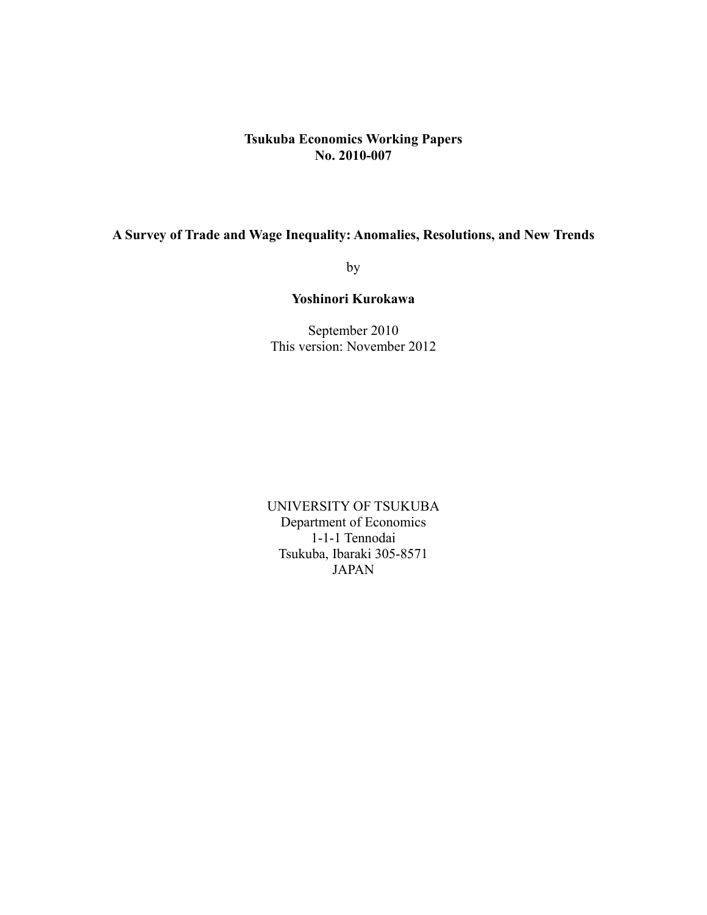## **Tsukuba Economics Working Papers No. 2010-007**

# **A Survey of Trade and Wage Inequality: Anomalies, Resolutions, and New Trends**

by

## **Yoshinori Kurokawa**

September 2010 This version: November 2012

UNIVERSITY OF TSUKUBA Department of Economics 1-1-1 Tennodai Tsukuba, Ibaraki 305-8571 JAPAN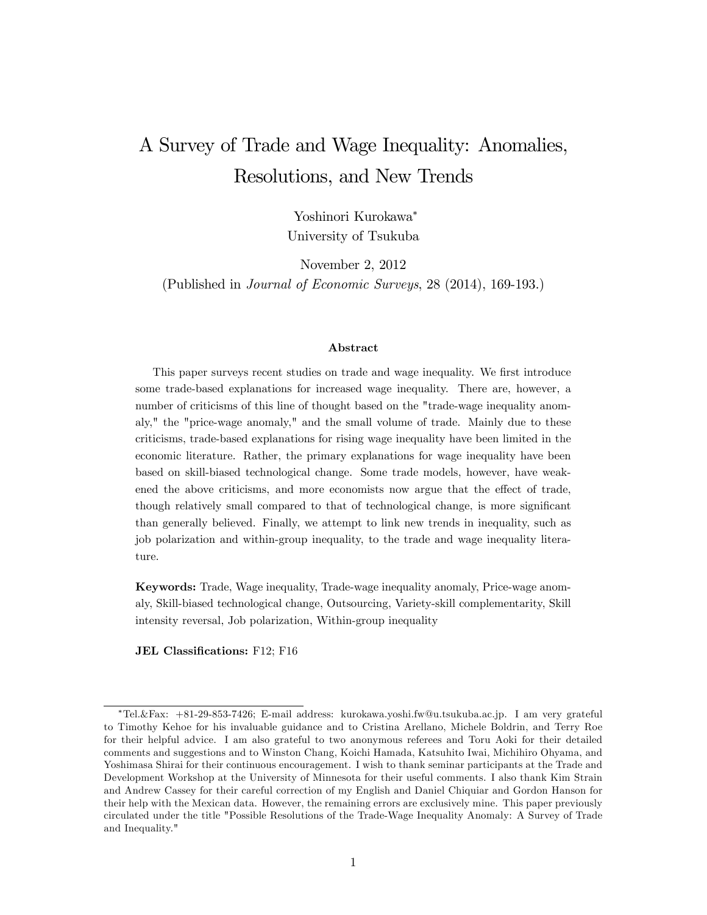# A Survey of Trade and Wage Inequality: Anomalies, Resolutions, and New Trends

Yoshinori Kurokawa University of Tsukuba

November 2, 2012 (Published in Journal of Economic Surveys, 28 (2014), 169-193.)

#### Abstract

This paper surveys recent studies on trade and wage inequality. We first introduce some trade-based explanations for increased wage inequality. There are, however, a number of criticisms of this line of thought based on the "trade-wage inequality anomaly," the "price-wage anomaly," and the small volume of trade. Mainly due to these criticisms, trade-based explanations for rising wage inequality have been limited in the economic literature. Rather, the primary explanations for wage inequality have been based on skill-biased technological change. Some trade models, however, have weakened the above criticisms, and more economists now argue that the effect of trade, though relatively small compared to that of technological change, is more significant than generally believed. Finally, we attempt to link new trends in inequality, such as job polarization and within-group inequality, to the trade and wage inequality literature.

Keywords: Trade, Wage inequality, Trade-wage inequality anomaly, Price-wage anomaly, Skill-biased technological change, Outsourcing, Variety-skill complementarity, Skill intensity reversal, Job polarization, Within-group inequality

**JEL Classifications:** F12; F16

Tel.&Fax: +81-29-853-7426; E-mail address: kurokawa.yoshi.fw@u.tsukuba.ac.jp. I am very grateful to Timothy Kehoe for his invaluable guidance and to Cristina Arellano, Michele Boldrin, and Terry Roe for their helpful advice. I am also grateful to two anonymous referees and Toru Aoki for their detailed comments and suggestions and to Winston Chang, Koichi Hamada, Katsuhito Iwai, Michihiro Ohyama, and Yoshimasa Shirai for their continuous encouragement. I wish to thank seminar participants at the Trade and Development Workshop at the University of Minnesota for their useful comments. I also thank Kim Strain and Andrew Cassey for their careful correction of my English and Daniel Chiquiar and Gordon Hanson for their help with the Mexican data. However, the remaining errors are exclusively mine. This paper previously circulated under the title "Possible Resolutions of the Trade-Wage Inequality Anomaly: A Survey of Trade and Inequality."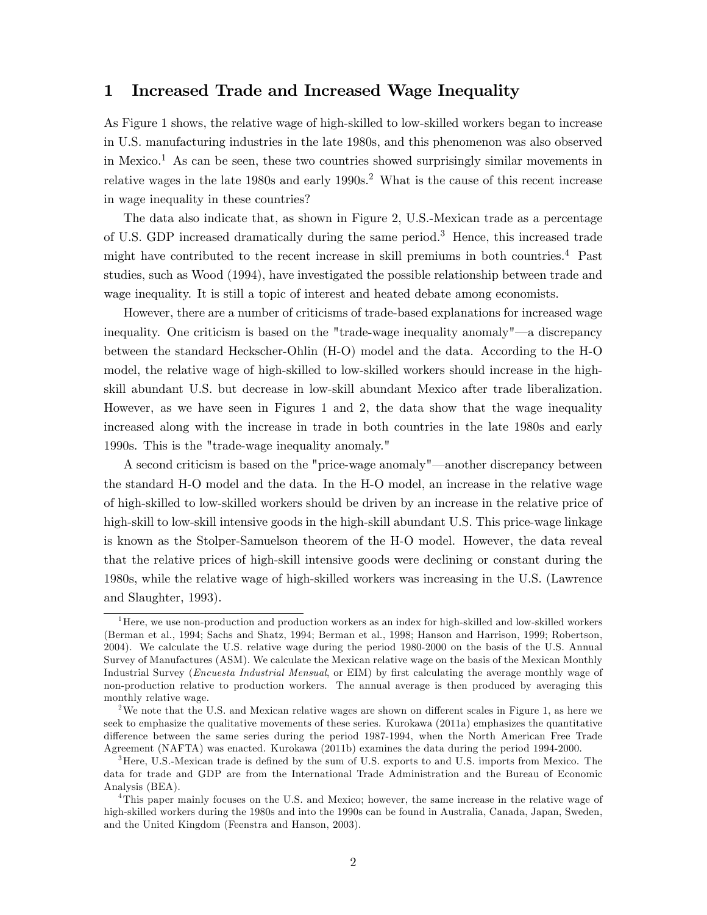## 1 Increased Trade and Increased Wage Inequality

As Figure 1 shows, the relative wage of high-skilled to low-skilled workers began to increase in U.S. manufacturing industries in the late 1980s, and this phenomenon was also observed in Mexico.<sup>1</sup> As can be seen, these two countries showed surprisingly similar movements in relative wages in the late  $1980s$  and early  $1990s<sup>2</sup>$ . What is the cause of this recent increase in wage inequality in these countries?

The data also indicate that, as shown in Figure 2, U.S.-Mexican trade as a percentage of U.S. GDP increased dramatically during the same period.<sup>3</sup> Hence, this increased trade might have contributed to the recent increase in skill premiums in both countries.<sup>4</sup> Past studies, such as Wood (1994), have investigated the possible relationship between trade and wage inequality. It is still a topic of interest and heated debate among economists.

However, there are a number of criticisms of trade-based explanations for increased wage inequality. One criticism is based on the "trade-wage inequality anomaly"—a discrepancy between the standard Heckscher-Ohlin (H-O) model and the data. According to the H-O model, the relative wage of high-skilled to low-skilled workers should increase in the highskill abundant U.S. but decrease in low-skill abundant Mexico after trade liberalization. However, as we have seen in Figures 1 and 2, the data show that the wage inequality increased along with the increase in trade in both countries in the late 1980s and early 1990s. This is the "trade-wage inequality anomaly."

A second criticism is based on the "price-wage anomaly"—another discrepancy between the standard H-O model and the data. In the H-O model, an increase in the relative wage of high-skilled to low-skilled workers should be driven by an increase in the relative price of high-skill to low-skill intensive goods in the high-skill abundant U.S. This price-wage linkage is known as the Stolper-Samuelson theorem of the H-O model. However, the data reveal that the relative prices of high-skill intensive goods were declining or constant during the 1980s, while the relative wage of high-skilled workers was increasing in the U.S. (Lawrence and Slaughter, 1993).

 $<sup>1</sup>$  Here, we use non-production and production workers as an index for high-skilled and low-skilled workers</sup> (Berman et al., 1994; Sachs and Shatz, 1994; Berman et al., 1998; Hanson and Harrison, 1999; Robertson, 2004). We calculate the U.S. relative wage during the period 1980-2000 on the basis of the U.S. Annual Survey of Manufactures (ASM). We calculate the Mexican relative wage on the basis of the Mexican Monthly Industrial Survey (*Encuesta Industrial Mensual*, or EIM) by first calculating the average monthly wage of non-production relative to production workers. The annual average is then produced by averaging this monthly relative wage.

<sup>&</sup>lt;sup>2</sup>We note that the U.S. and Mexican relative wages are shown on different scales in Figure 1, as here we seek to emphasize the qualitative movements of these series. Kurokawa (2011a) emphasizes the quantitative difference between the same series during the period 1987-1994, when the North American Free Trade Agreement (NAFTA) was enacted. Kurokawa (2011b) examines the data during the period 1994-2000.

 $3$ Here, U.S.-Mexican trade is defined by the sum of U.S. exports to and U.S. imports from Mexico. The data for trade and GDP are from the International Trade Administration and the Bureau of Economic Analysis (BEA).

<sup>&</sup>lt;sup>4</sup>This paper mainly focuses on the U.S. and Mexico; however, the same increase in the relative wage of high-skilled workers during the 1980s and into the 1990s can be found in Australia, Canada, Japan, Sweden, and the United Kingdom (Feenstra and Hanson, 2003).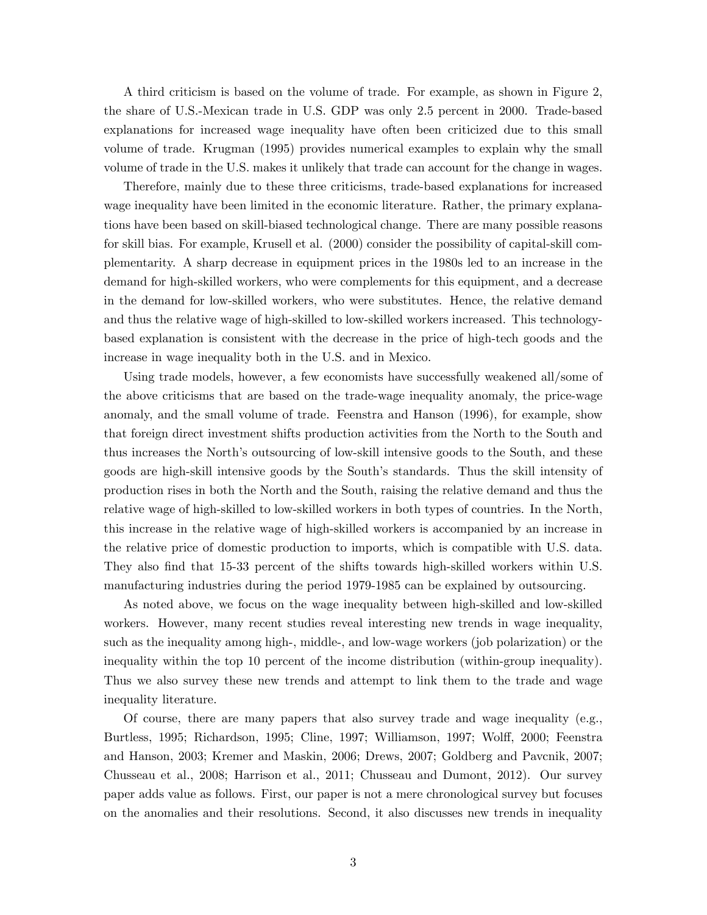A third criticism is based on the volume of trade. For example, as shown in Figure 2, the share of U.S.-Mexican trade in U.S. GDP was only 2.5 percent in 2000. Trade-based explanations for increased wage inequality have often been criticized due to this small volume of trade. Krugman (1995) provides numerical examples to explain why the small volume of trade in the U.S. makes it unlikely that trade can account for the change in wages.

Therefore, mainly due to these three criticisms, trade-based explanations for increased wage inequality have been limited in the economic literature. Rather, the primary explanations have been based on skill-biased technological change. There are many possible reasons for skill bias. For example, Krusell et al. (2000) consider the possibility of capital-skill complementarity. A sharp decrease in equipment prices in the 1980s led to an increase in the demand for high-skilled workers, who were complements for this equipment, and a decrease in the demand for low-skilled workers, who were substitutes. Hence, the relative demand and thus the relative wage of high-skilled to low-skilled workers increased. This technologybased explanation is consistent with the decrease in the price of high-tech goods and the increase in wage inequality both in the U.S. and in Mexico.

Using trade models, however, a few economists have successfully weakened all/some of the above criticisms that are based on the trade-wage inequality anomaly, the price-wage anomaly, and the small volume of trade. Feenstra and Hanson (1996), for example, show that foreign direct investment shifts production activities from the North to the South and thus increases the North's outsourcing of low-skill intensive goods to the South, and these goods are high-skill intensive goods by the South's standards. Thus the skill intensity of production rises in both the North and the South, raising the relative demand and thus the relative wage of high-skilled to low-skilled workers in both types of countries. In the North, this increase in the relative wage of high-skilled workers is accompanied by an increase in the relative price of domestic production to imports, which is compatible with U.S. data. They also find that 15-33 percent of the shifts towards high-skilled workers within U.S. manufacturing industries during the period 1979-1985 can be explained by outsourcing.

As noted above, we focus on the wage inequality between high-skilled and low-skilled workers. However, many recent studies reveal interesting new trends in wage inequality, such as the inequality among high-, middle-, and low-wage workers (job polarization) or the inequality within the top 10 percent of the income distribution (within-group inequality). Thus we also survey these new trends and attempt to link them to the trade and wage inequality literature.

Of course, there are many papers that also survey trade and wage inequality (e.g., Burtless, 1995; Richardson, 1995; Cline, 1997; Williamson, 1997; Wolff, 2000; Feenstra and Hanson, 2003; Kremer and Maskin, 2006; Drews, 2007; Goldberg and Pavcnik, 2007; Chusseau et al., 2008; Harrison et al., 2011; Chusseau and Dumont, 2012). Our survey paper adds value as follows. First, our paper is not a mere chronological survey but focuses on the anomalies and their resolutions. Second, it also discusses new trends in inequality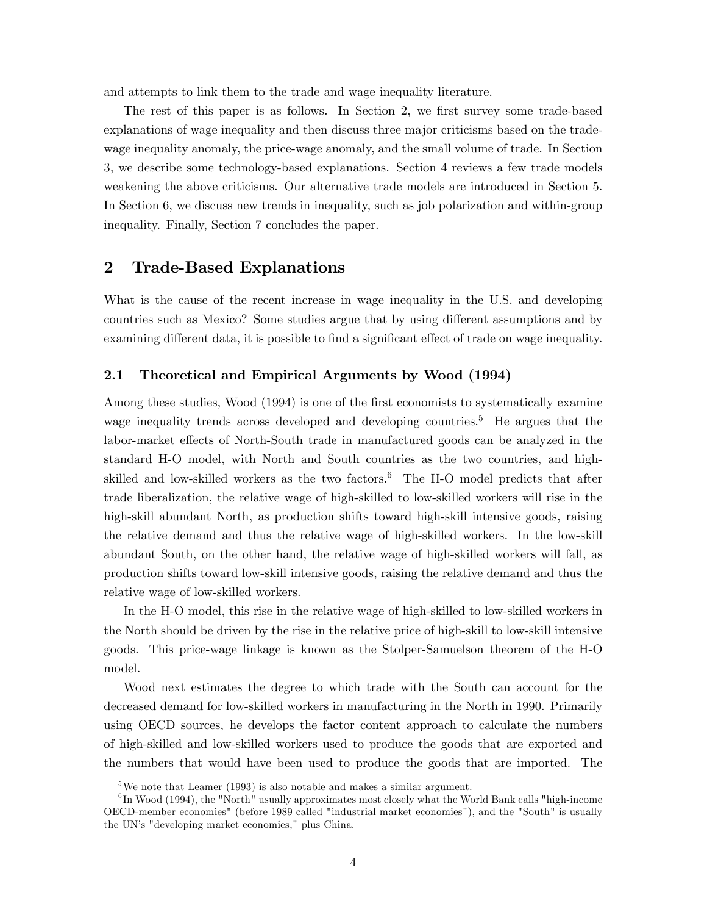and attempts to link them to the trade and wage inequality literature.

The rest of this paper is as follows. In Section 2, we first survey some trade-based explanations of wage inequality and then discuss three major criticisms based on the tradewage inequality anomaly, the price-wage anomaly, and the small volume of trade. In Section 3, we describe some technology-based explanations. Section 4 reviews a few trade models weakening the above criticisms. Our alternative trade models are introduced in Section 5. In Section 6, we discuss new trends in inequality, such as job polarization and within-group inequality. Finally, Section 7 concludes the paper.

## 2 Trade-Based Explanations

What is the cause of the recent increase in wage inequality in the U.S. and developing countries such as Mexico? Some studies argue that by using different assumptions and by examining different data, it is possible to find a significant effect of trade on wage inequality.

#### 2.1 Theoretical and Empirical Arguments by Wood (1994)

Among these studies, Wood (1994) is one of the first economists to systematically examine wage inequality trends across developed and developing countries.<sup>5</sup> He argues that the labor-market effects of North-South trade in manufactured goods can be analyzed in the standard H-O model, with North and South countries as the two countries, and highskilled and low-skilled workers as the two factors.<sup>6</sup> The H-O model predicts that after trade liberalization, the relative wage of high-skilled to low-skilled workers will rise in the high-skill abundant North, as production shifts toward high-skill intensive goods, raising the relative demand and thus the relative wage of high-skilled workers. In the low-skill abundant South, on the other hand, the relative wage of high-skilled workers will fall, as production shifts toward low-skill intensive goods, raising the relative demand and thus the relative wage of low-skilled workers.

In the H-O model, this rise in the relative wage of high-skilled to low-skilled workers in the North should be driven by the rise in the relative price of high-skill to low-skill intensive goods. This price-wage linkage is known as the Stolper-Samuelson theorem of the H-O model.

Wood next estimates the degree to which trade with the South can account for the decreased demand for low-skilled workers in manufacturing in the North in 1990. Primarily using OECD sources, he develops the factor content approach to calculate the numbers of high-skilled and low-skilled workers used to produce the goods that are exported and the numbers that would have been used to produce the goods that are imported. The

 $^{5}\mathrm{We}$  note that Leamer (1993) is also notable and makes a similar argument.

<sup>&</sup>lt;sup>6</sup>In Wood (1994), the "North" usually approximates most closely what the World Bank calls "high-income OECD-member economies" (before 1989 called "industrial market economies"), and the "South" is usually the UN's "developing market economies," plus China.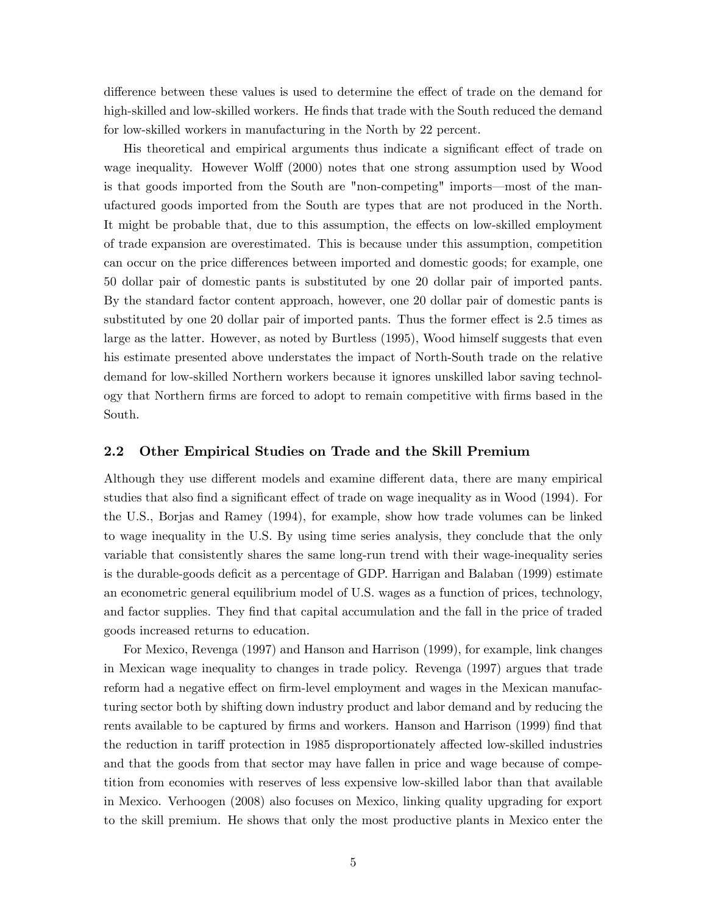difference between these values is used to determine the effect of trade on the demand for high-skilled and low-skilled workers. He finds that trade with the South reduced the demand for low-skilled workers in manufacturing in the North by 22 percent.

His theoretical and empirical arguments thus indicate a significant effect of trade on wage inequality. However Wolff (2000) notes that one strong assumption used by Wood is that goods imported from the South are "non-competing" imports—most of the manufactured goods imported from the South are types that are not produced in the North. It might be probable that, due to this assumption, the effects on low-skilled employment of trade expansion are overestimated. This is because under this assumption, competition can occur on the price differences between imported and domestic goods; for example, one 50 dollar pair of domestic pants is substituted by one 20 dollar pair of imported pants. By the standard factor content approach, however, one 20 dollar pair of domestic pants is substituted by one 20 dollar pair of imported pants. Thus the former effect is 2.5 times as large as the latter. However, as noted by Burtless (1995), Wood himself suggests that even his estimate presented above understates the impact of North-South trade on the relative demand for low-skilled Northern workers because it ignores unskilled labor saving technology that Northern Örms are forced to adopt to remain competitive with Örms based in the South.

#### 2.2 Other Empirical Studies on Trade and the Skill Premium

Although they use different models and examine different data, there are many empirical studies that also find a significant effect of trade on wage inequality as in Wood (1994). For the U.S., Borjas and Ramey (1994), for example, show how trade volumes can be linked to wage inequality in the U.S. By using time series analysis, they conclude that the only variable that consistently shares the same long-run trend with their wage-inequality series is the durable-goods deficit as a percentage of GDP. Harrigan and Balaban (1999) estimate an econometric general equilibrium model of U.S. wages as a function of prices, technology, and factor supplies. They find that capital accumulation and the fall in the price of traded goods increased returns to education.

For Mexico, Revenga (1997) and Hanson and Harrison (1999), for example, link changes in Mexican wage inequality to changes in trade policy. Revenga (1997) argues that trade reform had a negative effect on firm-level employment and wages in the Mexican manufacturing sector both by shifting down industry product and labor demand and by reducing the rents available to be captured by firms and workers. Hanson and Harrison (1999) find that the reduction in tariff protection in 1985 disproportionately affected low-skilled industries and that the goods from that sector may have fallen in price and wage because of competition from economies with reserves of less expensive low-skilled labor than that available in Mexico. Verhoogen (2008) also focuses on Mexico, linking quality upgrading for export to the skill premium. He shows that only the most productive plants in Mexico enter the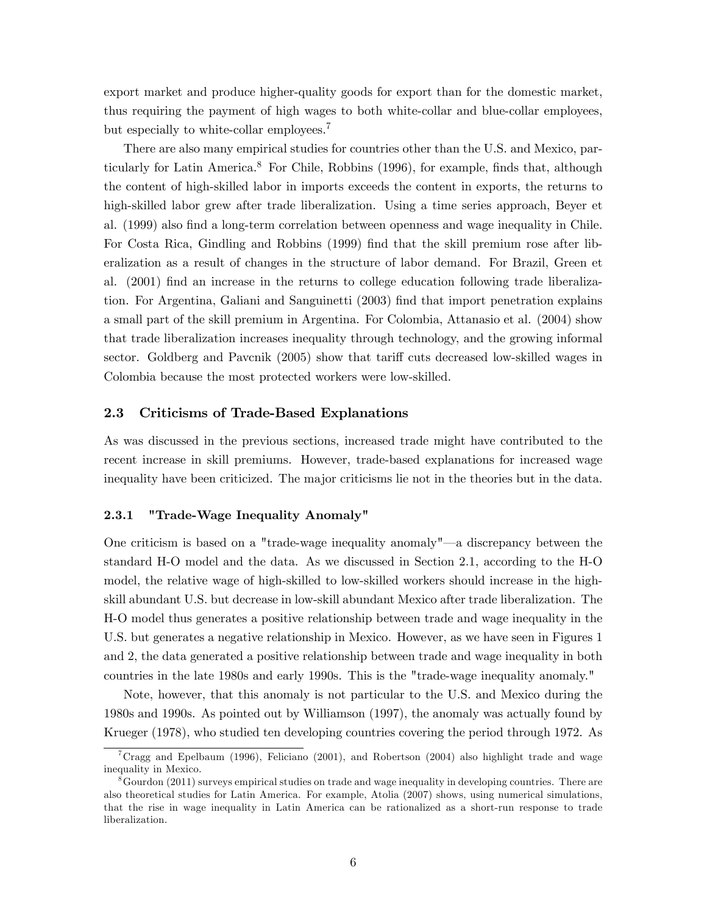export market and produce higher-quality goods for export than for the domestic market, thus requiring the payment of high wages to both white-collar and blue-collar employees, but especially to white-collar employees.<sup>7</sup>

There are also many empirical studies for countries other than the U.S. and Mexico, particularly for Latin America.<sup>8</sup> For Chile, Robbins  $(1996)$ , for example, finds that, although the content of high-skilled labor in imports exceeds the content in exports, the returns to high-skilled labor grew after trade liberalization. Using a time series approach, Beyer et al. (1999) also find a long-term correlation between openness and wage inequality in Chile. For Costa Rica, Gindling and Robbins (1999) Önd that the skill premium rose after liberalization as a result of changes in the structure of labor demand. For Brazil, Green et al. (2001) find an increase in the returns to college education following trade liberalization. For Argentina, Galiani and Sanguinetti (2003) find that import penetration explains a small part of the skill premium in Argentina. For Colombia, Attanasio et al. (2004) show that trade liberalization increases inequality through technology, and the growing informal sector. Goldberg and Pavcnik (2005) show that tariff cuts decreased low-skilled wages in Colombia because the most protected workers were low-skilled.

#### 2.3 Criticisms of Trade-Based Explanations

As was discussed in the previous sections, increased trade might have contributed to the recent increase in skill premiums. However, trade-based explanations for increased wage inequality have been criticized. The major criticisms lie not in the theories but in the data.

#### 2.3.1 "Trade-Wage Inequality Anomaly"

One criticism is based on a "trade-wage inequality anomaly"—a discrepancy between the standard H-O model and the data. As we discussed in Section 2.1, according to the H-O model, the relative wage of high-skilled to low-skilled workers should increase in the highskill abundant U.S. but decrease in low-skill abundant Mexico after trade liberalization. The H-O model thus generates a positive relationship between trade and wage inequality in the U.S. but generates a negative relationship in Mexico. However, as we have seen in Figures 1 and 2, the data generated a positive relationship between trade and wage inequality in both countries in the late 1980s and early 1990s. This is the "trade-wage inequality anomaly."

Note, however, that this anomaly is not particular to the U.S. and Mexico during the 1980s and 1990s. As pointed out by Williamson (1997), the anomaly was actually found by Krueger (1978), who studied ten developing countries covering the period through 1972. As

<sup>&</sup>lt;sup>7</sup>Cragg and Epelbaum (1996), Feliciano (2001), and Robertson (2004) also highlight trade and wage inequality in Mexico.

 $86$  Gourdon (2011) surveys empirical studies on trade and wage inequality in developing countries. There are also theoretical studies for Latin America. For example, Atolia (2007) shows, using numerical simulations, that the rise in wage inequality in Latin America can be rationalized as a short-run response to trade liberalization.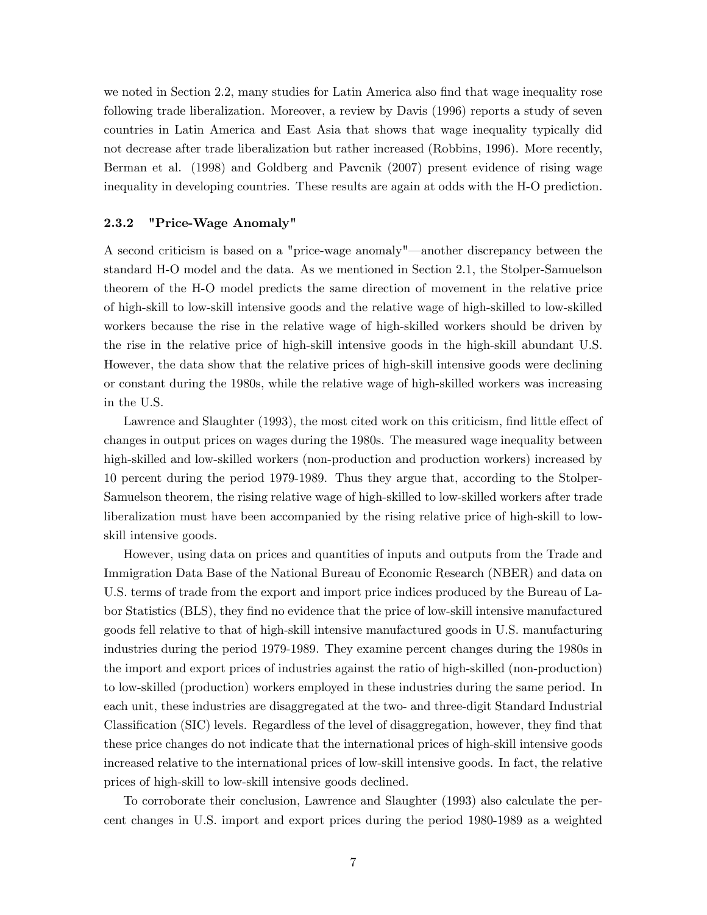we noted in Section 2.2, many studies for Latin America also find that wage inequality rose following trade liberalization. Moreover, a review by Davis (1996) reports a study of seven countries in Latin America and East Asia that shows that wage inequality typically did not decrease after trade liberalization but rather increased (Robbins, 1996). More recently, Berman et al. (1998) and Goldberg and Pavcnik (2007) present evidence of rising wage inequality in developing countries. These results are again at odds with the H-O prediction.

#### 2.3.2 "Price-Wage Anomaly"

A second criticism is based on a "price-wage anomaly"—another discrepancy between the standard H-O model and the data. As we mentioned in Section 2.1, the Stolper-Samuelson theorem of the H-O model predicts the same direction of movement in the relative price of high-skill to low-skill intensive goods and the relative wage of high-skilled to low-skilled workers because the rise in the relative wage of high-skilled workers should be driven by the rise in the relative price of high-skill intensive goods in the high-skill abundant U.S. However, the data show that the relative prices of high-skill intensive goods were declining or constant during the 1980s, while the relative wage of high-skilled workers was increasing in the U.S.

Lawrence and Slaughter (1993), the most cited work on this criticism, find little effect of changes in output prices on wages during the 1980s. The measured wage inequality between high-skilled and low-skilled workers (non-production and production workers) increased by 10 percent during the period 1979-1989. Thus they argue that, according to the Stolper-Samuelson theorem, the rising relative wage of high-skilled to low-skilled workers after trade liberalization must have been accompanied by the rising relative price of high-skill to lowskill intensive goods.

However, using data on prices and quantities of inputs and outputs from the Trade and Immigration Data Base of the National Bureau of Economic Research (NBER) and data on U.S. terms of trade from the export and import price indices produced by the Bureau of Labor Statistics (BLS), they find no evidence that the price of low-skill intensive manufactured goods fell relative to that of high-skill intensive manufactured goods in U.S. manufacturing industries during the period 1979-1989. They examine percent changes during the 1980s in the import and export prices of industries against the ratio of high-skilled (non-production) to low-skilled (production) workers employed in these industries during the same period. In each unit, these industries are disaggregated at the two- and three-digit Standard Industrial Classification (SIC) levels. Regardless of the level of disaggregation, however, they find that these price changes do not indicate that the international prices of high-skill intensive goods increased relative to the international prices of low-skill intensive goods. In fact, the relative prices of high-skill to low-skill intensive goods declined.

To corroborate their conclusion, Lawrence and Slaughter (1993) also calculate the percent changes in U.S. import and export prices during the period 1980-1989 as a weighted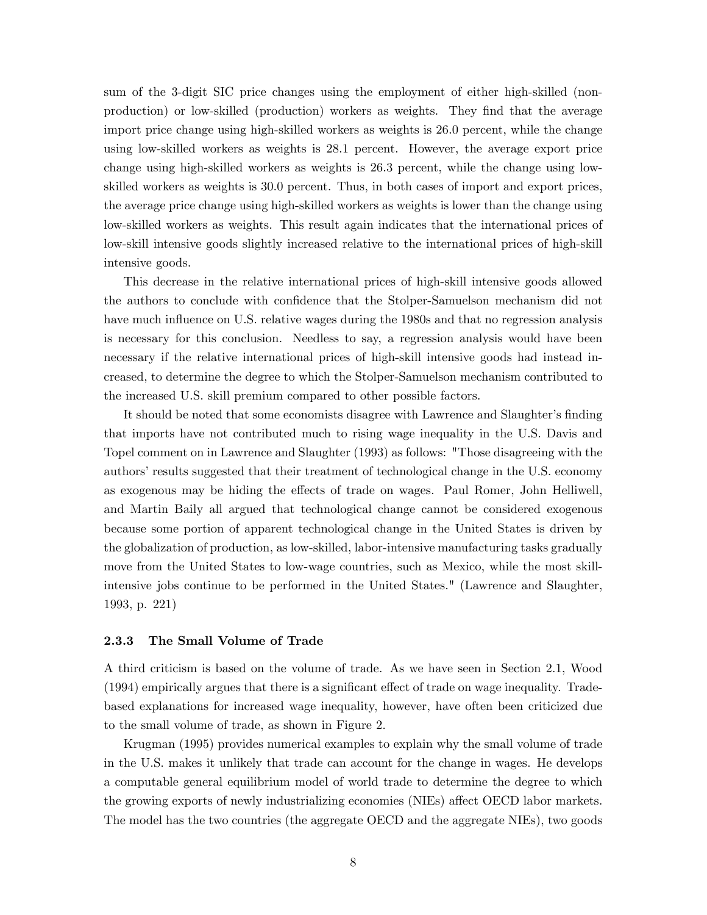sum of the 3-digit SIC price changes using the employment of either high-skilled (nonproduction) or low-skilled (production) workers as weights. They Önd that the average import price change using high-skilled workers as weights is 26.0 percent, while the change using low-skilled workers as weights is 28.1 percent. However, the average export price change using high-skilled workers as weights is 26.3 percent, while the change using lowskilled workers as weights is 30.0 percent. Thus, in both cases of import and export prices, the average price change using high-skilled workers as weights is lower than the change using low-skilled workers as weights. This result again indicates that the international prices of low-skill intensive goods slightly increased relative to the international prices of high-skill intensive goods.

This decrease in the relative international prices of high-skill intensive goods allowed the authors to conclude with confidence that the Stolper-Samuelson mechanism did not have much influence on U.S. relative wages during the 1980s and that no regression analysis is necessary for this conclusion. Needless to say, a regression analysis would have been necessary if the relative international prices of high-skill intensive goods had instead increased, to determine the degree to which the Stolper-Samuelson mechanism contributed to the increased U.S. skill premium compared to other possible factors.

It should be noted that some economists disagree with Lawrence and Slaughter's finding that imports have not contributed much to rising wage inequality in the U.S. Davis and Topel comment on in Lawrence and Slaughter (1993) as follows: "Those disagreeing with the authors' results suggested that their treatment of technological change in the U.S. economy as exogenous may be hiding the effects of trade on wages. Paul Romer, John Helliwell, and Martin Baily all argued that technological change cannot be considered exogenous because some portion of apparent technological change in the United States is driven by the globalization of production, as low-skilled, labor-intensive manufacturing tasks gradually move from the United States to low-wage countries, such as Mexico, while the most skillintensive jobs continue to be performed in the United States." (Lawrence and Slaughter, 1993, p. 221)

### 2.3.3 The Small Volume of Trade

A third criticism is based on the volume of trade. As we have seen in Section 2.1, Wood  $(1994)$  empirically argues that there is a significant effect of trade on wage inequality. Tradebased explanations for increased wage inequality, however, have often been criticized due to the small volume of trade, as shown in Figure 2.

Krugman (1995) provides numerical examples to explain why the small volume of trade in the U.S. makes it unlikely that trade can account for the change in wages. He develops a computable general equilibrium model of world trade to determine the degree to which the growing exports of newly industrializing economies (NIEs) affect OECD labor markets. The model has the two countries (the aggregate OECD and the aggregate NIEs), two goods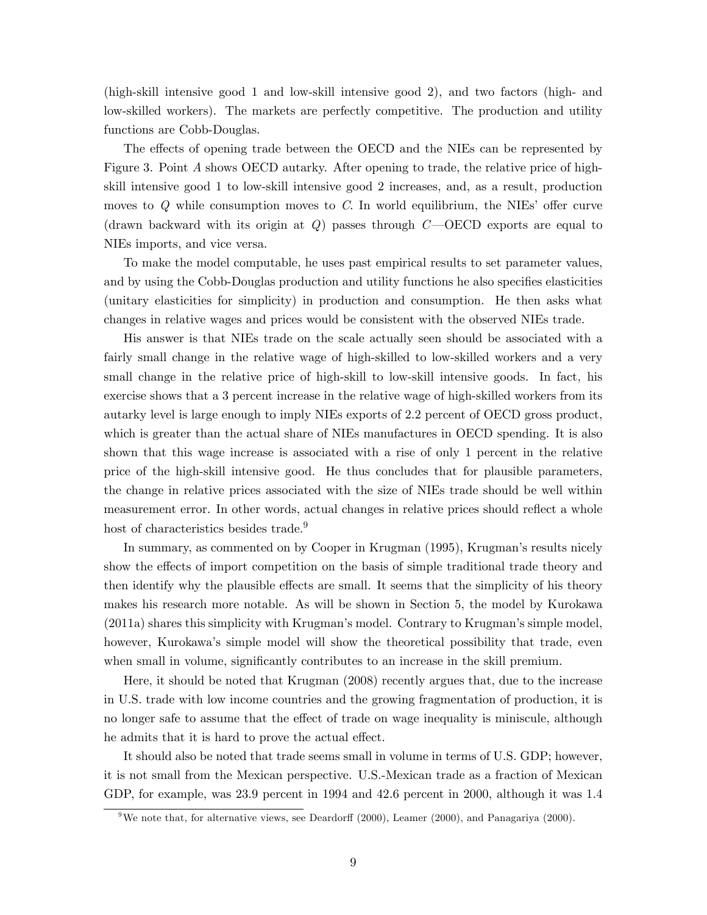(high-skill intensive good 1 and low-skill intensive good 2), and two factors (high- and low-skilled workers). The markets are perfectly competitive. The production and utility functions are Cobb-Douglas.

The effects of opening trade between the OECD and the NIEs can be represented by Figure 3. Point A shows OECD autarky. After opening to trade, the relative price of highskill intensive good 1 to low-skill intensive good 2 increases, and, as a result, production moves to  $Q$  while consumption moves to  $C$ . In world equilibrium, the NIEs' offer curve (drawn backward with its origin at Q) passes through  $C$ —OECD exports are equal to NIEs imports, and vice versa.

To make the model computable, he uses past empirical results to set parameter values, and by using the Cobb-Douglas production and utility functions he also specifies elasticities (unitary elasticities for simplicity) in production and consumption. He then asks what changes in relative wages and prices would be consistent with the observed NIEs trade.

His answer is that NIEs trade on the scale actually seen should be associated with a fairly small change in the relative wage of high-skilled to low-skilled workers and a very small change in the relative price of high-skill to low-skill intensive goods. In fact, his exercise shows that a 3 percent increase in the relative wage of high-skilled workers from its autarky level is large enough to imply NIEs exports of 2.2 percent of OECD gross product, which is greater than the actual share of NIEs manufactures in OECD spending. It is also shown that this wage increase is associated with a rise of only 1 percent in the relative price of the high-skill intensive good. He thus concludes that for plausible parameters, the change in relative prices associated with the size of NIEs trade should be well within measurement error. In other words, actual changes in relative prices should reflect a whole host of characteristics besides trade.<sup>9</sup>

In summary, as commented on by Cooper in Krugman (1995), Krugmanís results nicely show the effects of import competition on the basis of simple traditional trade theory and then identify why the plausible effects are small. It seems that the simplicity of his theory makes his research more notable. As will be shown in Section 5, the model by Kurokawa  $(2011a)$  shares this simplicity with Krugman's model. Contrary to Krugman's simple model, however, Kurokawa's simple model will show the theoretical possibility that trade, even when small in volume, significantly contributes to an increase in the skill premium.

Here, it should be noted that Krugman (2008) recently argues that, due to the increase in U.S. trade with low income countries and the growing fragmentation of production, it is no longer safe to assume that the effect of trade on wage inequality is miniscule, although he admits that it is hard to prove the actual effect.

It should also be noted that trade seems small in volume in terms of U.S. GDP; however, it is not small from the Mexican perspective. U.S.-Mexican trade as a fraction of Mexican GDP, for example, was 23.9 percent in 1994 and 42.6 percent in 2000, although it was 1.4

<sup>&</sup>lt;sup>9</sup>We note that, for alternative views, see Deardorff (2000), Leamer (2000), and Panagariya (2000).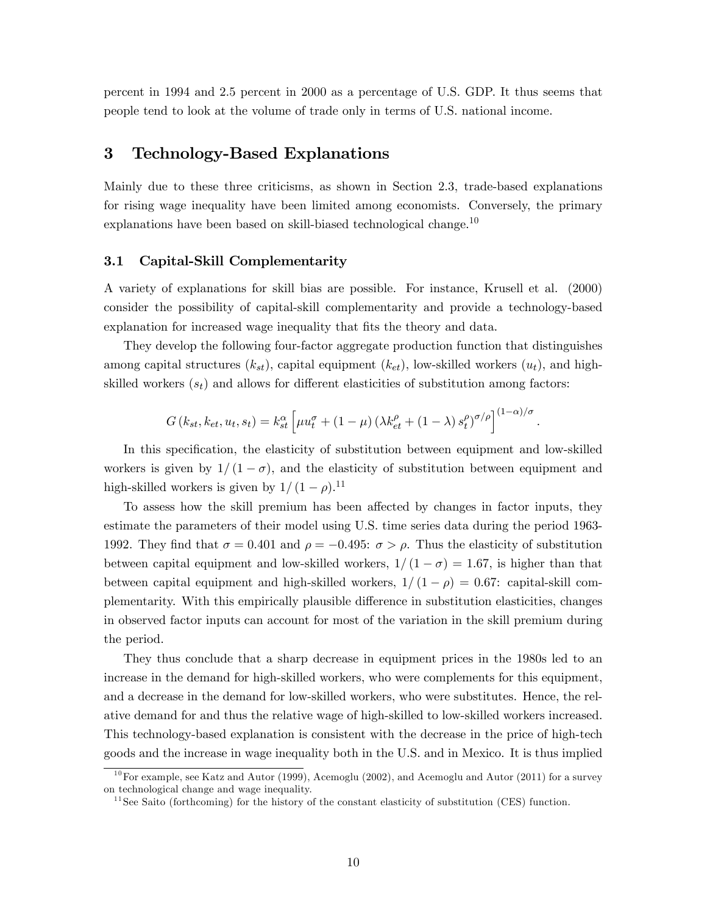percent in 1994 and 2.5 percent in 2000 as a percentage of U.S. GDP. It thus seems that people tend to look at the volume of trade only in terms of U.S. national income.

## 3 Technology-Based Explanations

Mainly due to these three criticisms, as shown in Section 2.3, trade-based explanations for rising wage inequality have been limited among economists. Conversely, the primary explanations have been based on skill-biased technological change.<sup>10</sup>

#### 3.1 Capital-Skill Complementarity

A variety of explanations for skill bias are possible. For instance, Krusell et al. (2000) consider the possibility of capital-skill complementarity and provide a technology-based explanation for increased wage inequality that fits the theory and data.

They develop the following four-factor aggregate production function that distinguishes among capital structures  $(k_{st})$ , capital equipment  $(k_{et})$ , low-skilled workers  $(u_t)$ , and highskilled workers  $(s_t)$  and allows for different elasticities of substitution among factors:

$$
G(k_{st}, k_{et}, u_t, s_t) = k_{st}^{\alpha} \left[ \mu u_t^{\sigma} + (1 - \mu) \left( \lambda k_{et}^{\rho} + (1 - \lambda) s_t^{\rho} \right)^{\sigma/\rho} \right]^{(1 - \alpha)/\sigma}
$$

:

In this specification, the elasticity of substitution between equipment and low-skilled workers is given by  $1/(1 - \sigma)$ , and the elasticity of substitution between equipment and high-skilled workers is given by  $1/(1 - \rho).^{11}$ 

To assess how the skill premium has been affected by changes in factor inputs, they estimate the parameters of their model using U.S. time series data during the period 1963- 1992. They find that  $\sigma = 0.401$  and  $\rho = -0.495$ :  $\sigma > \rho$ . Thus the elasticity of substitution between capital equipment and low-skilled workers,  $1/(1 - \sigma) = 1.67$ , is higher than that between capital equipment and high-skilled workers,  $1/(1 - \rho) = 0.67$ : capital-skill complementarity. With this empirically plausible difference in substitution elasticities, changes in observed factor inputs can account for most of the variation in the skill premium during the period.

They thus conclude that a sharp decrease in equipment prices in the 1980s led to an increase in the demand for high-skilled workers, who were complements for this equipment, and a decrease in the demand for low-skilled workers, who were substitutes. Hence, the relative demand for and thus the relative wage of high-skilled to low-skilled workers increased. This technology-based explanation is consistent with the decrease in the price of high-tech goods and the increase in wage inequality both in the U.S. and in Mexico. It is thus implied

<sup>&</sup>lt;sup>10</sup>For example, see Katz and Autor (1999), Acemoglu (2002), and Acemoglu and Autor (2011) for a survey on technological change and wage inequality.

 $11$  See Saito (forthcoming) for the history of the constant elasticity of substitution (CES) function.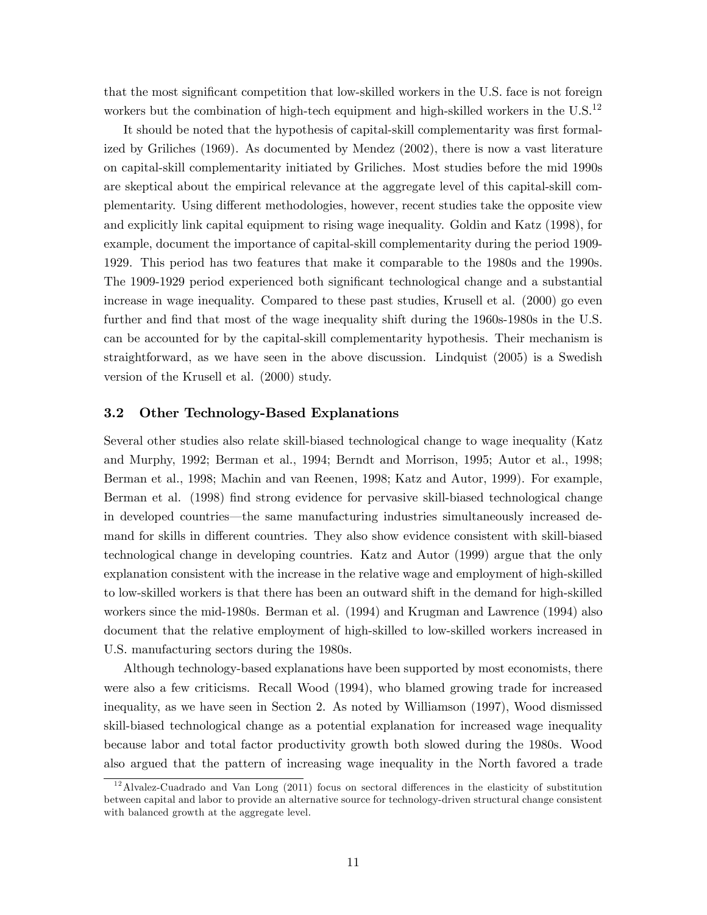that the most significant competition that low-skilled workers in the U.S. face is not foreign workers but the combination of high-tech equipment and high-skilled workers in the  $U.S.<sup>12</sup>$ 

It should be noted that the hypothesis of capital-skill complementarity was first formalized by Griliches (1969). As documented by Mendez (2002), there is now a vast literature on capital-skill complementarity initiated by Griliches. Most studies before the mid 1990s are skeptical about the empirical relevance at the aggregate level of this capital-skill complementarity. Using different methodologies, however, recent studies take the opposite view and explicitly link capital equipment to rising wage inequality. Goldin and Katz (1998), for example, document the importance of capital-skill complementarity during the period 1909- 1929. This period has two features that make it comparable to the 1980s and the 1990s. The 1909-1929 period experienced both significant technological change and a substantial increase in wage inequality. Compared to these past studies, Krusell et al. (2000) go even further and find that most of the wage inequality shift during the 1960s-1980s in the U.S. can be accounted for by the capital-skill complementarity hypothesis. Their mechanism is straightforward, as we have seen in the above discussion. Lindquist (2005) is a Swedish version of the Krusell et al. (2000) study.

#### 3.2 Other Technology-Based Explanations

Several other studies also relate skill-biased technological change to wage inequality (Katz and Murphy, 1992; Berman et al., 1994; Berndt and Morrison, 1995; Autor et al., 1998; Berman et al., 1998; Machin and van Reenen, 1998; Katz and Autor, 1999). For example, Berman et al. (1998) find strong evidence for pervasive skill-biased technological change in developed countries—the same manufacturing industries simultaneously increased demand for skills in different countries. They also show evidence consistent with skill-biased technological change in developing countries. Katz and Autor (1999) argue that the only explanation consistent with the increase in the relative wage and employment of high-skilled to low-skilled workers is that there has been an outward shift in the demand for high-skilled workers since the mid-1980s. Berman et al. (1994) and Krugman and Lawrence (1994) also document that the relative employment of high-skilled to low-skilled workers increased in U.S. manufacturing sectors during the 1980s.

Although technology-based explanations have been supported by most economists, there were also a few criticisms. Recall Wood (1994), who blamed growing trade for increased inequality, as we have seen in Section 2. As noted by Williamson (1997), Wood dismissed skill-biased technological change as a potential explanation for increased wage inequality because labor and total factor productivity growth both slowed during the 1980s. Wood also argued that the pattern of increasing wage inequality in the North favored a trade

 $12$ Alvalez-Cuadrado and Van Long (2011) focus on sectoral differences in the elasticity of substitution between capital and labor to provide an alternative source for technology-driven structural change consistent with balanced growth at the aggregate level.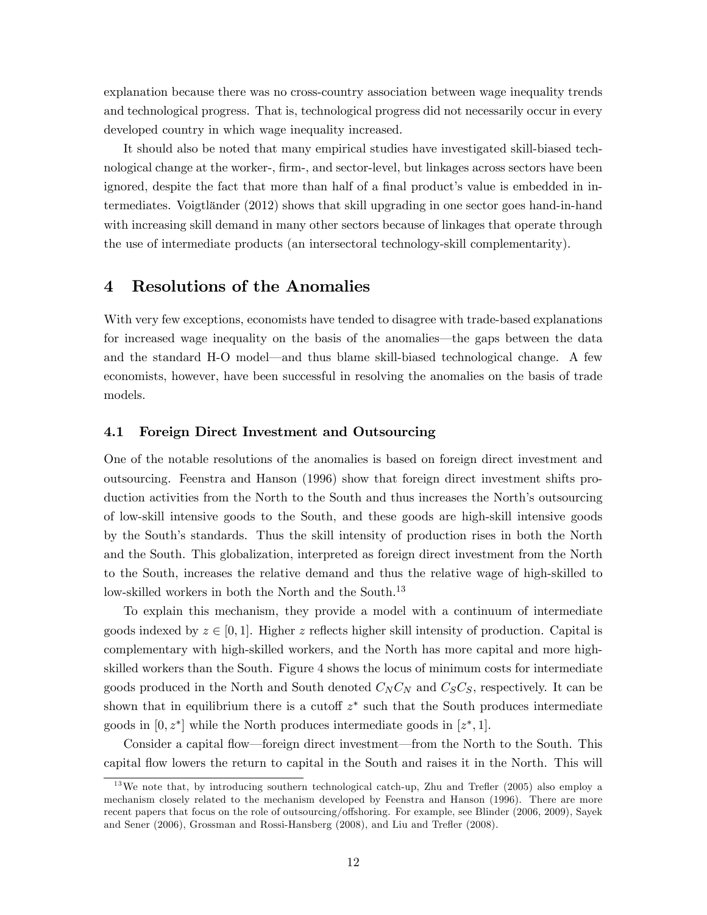explanation because there was no cross-country association between wage inequality trends and technological progress. That is, technological progress did not necessarily occur in every developed country in which wage inequality increased.

It should also be noted that many empirical studies have investigated skill-biased technological change at the worker-, firm-, and sector-level, but linkages across sectors have been ignored, despite the fact that more than half of a final product's value is embedded in intermediates. Voigtländer (2012) shows that skill upgrading in one sector goes hand-in-hand with increasing skill demand in many other sectors because of linkages that operate through the use of intermediate products (an intersectoral technology-skill complementarity).

## 4 Resolutions of the Anomalies

With very few exceptions, economists have tended to disagree with trade-based explanations for increased wage inequality on the basis of the anomalies—the gaps between the data and the standard H-O model—and thus blame skill-biased technological change. A few economists, however, have been successful in resolving the anomalies on the basis of trade models.

#### 4.1 Foreign Direct Investment and Outsourcing

One of the notable resolutions of the anomalies is based on foreign direct investment and outsourcing. Feenstra and Hanson (1996) show that foreign direct investment shifts production activities from the North to the South and thus increases the North's outsourcing of low-skill intensive goods to the South, and these goods are high-skill intensive goods by the South's standards. Thus the skill intensity of production rises in both the North and the South. This globalization, interpreted as foreign direct investment from the North to the South, increases the relative demand and thus the relative wage of high-skilled to low-skilled workers in both the North and the South.<sup>13</sup>

To explain this mechanism, they provide a model with a continuum of intermediate goods indexed by  $z \in [0, 1]$ . Higher z reflects higher skill intensity of production. Capital is complementary with high-skilled workers, and the North has more capital and more highskilled workers than the South. Figure 4 shows the locus of minimum costs for intermediate goods produced in the North and South denoted  $C_N C_N$  and  $C_S C_S$ , respectively. It can be shown that in equilibrium there is a cutoff  $z^*$  such that the South produces intermediate goods in  $[0, z^*]$  while the North produces intermediate goods in  $[z^*, 1]$ .

Consider a capital flow—foreign direct investment—from the North to the South. This capital áow lowers the return to capital in the South and raises it in the North. This will

 $13\,\text{We note that, by introducing southern technological catch-up, Zhu and Trefler (2005) also employ a$ mechanism closely related to the mechanism developed by Feenstra and Hanson (1996). There are more recent papers that focus on the role of outsourcing/offshoring. For example, see Blinder (2006, 2009), Sayek and Sener (2006), Grossman and Rossi-Hansberg (2008), and Liu and Trefler (2008).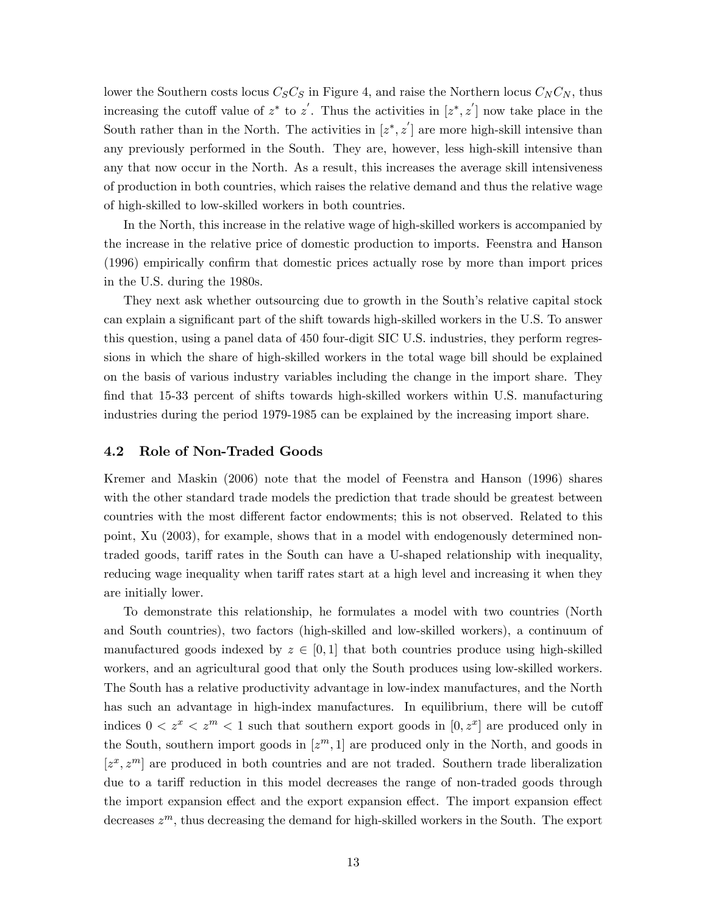lower the Southern costs locus  $C_S C_S$  in Figure 4, and raise the Northern locus  $C_N C_N$ , thus increasing the cutoff value of  $z^*$  to  $z'$ . Thus the activities in  $[z^*, z']$  now take place in the South rather than in the North. The activities in  $[z^*, z']$  are more high-skill intensive than any previously performed in the South. They are, however, less high-skill intensive than any that now occur in the North. As a result, this increases the average skill intensiveness of production in both countries, which raises the relative demand and thus the relative wage of high-skilled to low-skilled workers in both countries.

In the North, this increase in the relative wage of high-skilled workers is accompanied by the increase in the relative price of domestic production to imports. Feenstra and Hanson (1996) empirically confirm that domestic prices actually rose by more than import prices in the U.S. during the 1980s.

They next ask whether outsourcing due to growth in the South's relative capital stock can explain a significant part of the shift towards high-skilled workers in the U.S. To answer this question, using a panel data of 450 four-digit SIC U.S. industries, they perform regressions in which the share of high-skilled workers in the total wage bill should be explained on the basis of various industry variables including the change in the import share. They find that 15-33 percent of shifts towards high-skilled workers within U.S. manufacturing industries during the period 1979-1985 can be explained by the increasing import share.

#### 4.2 Role of Non-Traded Goods

Kremer and Maskin (2006) note that the model of Feenstra and Hanson (1996) shares with the other standard trade models the prediction that trade should be greatest between countries with the most different factor endowments; this is not observed. Related to this point, Xu (2003), for example, shows that in a model with endogenously determined nontraded goods, tariff rates in the South can have a U-shaped relationship with inequality, reducing wage inequality when tariff rates start at a high level and increasing it when they are initially lower.

To demonstrate this relationship, he formulates a model with two countries (North and South countries), two factors (high-skilled and low-skilled workers), a continuum of manufactured goods indexed by  $z \in [0, 1]$  that both countries produce using high-skilled workers, and an agricultural good that only the South produces using low-skilled workers. The South has a relative productivity advantage in low-index manufactures, and the North has such an advantage in high-index manufactures. In equilibrium, there will be cutoff indices  $0 < z^x < z^m < 1$  such that southern export goods in  $[0, z^x]$  are produced only in the South, southern import goods in  $[z<sup>m</sup>, 1]$  are produced only in the North, and goods in  $[z^x, z^m]$  are produced in both countries and are not traded. Southern trade liberalization due to a tariff reduction in this model decreases the range of non-traded goods through the import expansion effect and the export expansion effect. The import expansion effect decreases  $z^m$ , thus decreasing the demand for high-skilled workers in the South. The export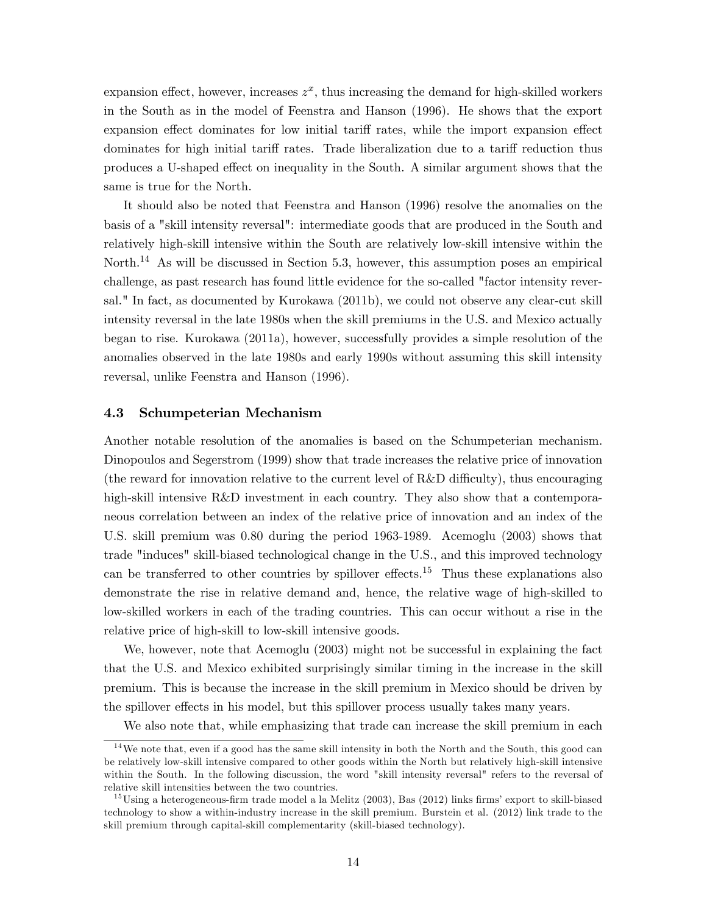expansion effect, however, increases  $z^x$ , thus increasing the demand for high-skilled workers in the South as in the model of Feenstra and Hanson (1996). He shows that the export expansion effect dominates for low initial tariff rates, while the import expansion effect dominates for high initial tariff rates. Trade liberalization due to a tariff reduction thus produces a U-shaped effect on inequality in the South. A similar argument shows that the same is true for the North.

It should also be noted that Feenstra and Hanson (1996) resolve the anomalies on the basis of a "skill intensity reversal": intermediate goods that are produced in the South and relatively high-skill intensive within the South are relatively low-skill intensive within the North.<sup>14</sup> As will be discussed in Section 5.3, however, this assumption poses an empirical challenge, as past research has found little evidence for the so-called "factor intensity reversal." In fact, as documented by Kurokawa (2011b), we could not observe any clear-cut skill intensity reversal in the late 1980s when the skill premiums in the U.S. and Mexico actually began to rise. Kurokawa (2011a), however, successfully provides a simple resolution of the anomalies observed in the late 1980s and early 1990s without assuming this skill intensity reversal, unlike Feenstra and Hanson (1996).

#### 4.3 Schumpeterian Mechanism

Another notable resolution of the anomalies is based on the Schumpeterian mechanism. Dinopoulos and Segerstrom (1999) show that trade increases the relative price of innovation (the reward for innovation relative to the current level of R&D difficulty), thus encouraging high-skill intensive R&D investment in each country. They also show that a contemporaneous correlation between an index of the relative price of innovation and an index of the U.S. skill premium was 0.80 during the period 1963-1989. Acemoglu (2003) shows that trade "induces" skill-biased technological change in the U.S., and this improved technology can be transferred to other countries by spillover effects.<sup>15</sup> Thus these explanations also demonstrate the rise in relative demand and, hence, the relative wage of high-skilled to low-skilled workers in each of the trading countries. This can occur without a rise in the relative price of high-skill to low-skill intensive goods.

We, however, note that Acemoglu (2003) might not be successful in explaining the fact that the U.S. and Mexico exhibited surprisingly similar timing in the increase in the skill premium. This is because the increase in the skill premium in Mexico should be driven by the spillover effects in his model, but this spillover process usually takes many years.

We also note that, while emphasizing that trade can increase the skill premium in each

 $14$ We note that, even if a good has the same skill intensity in both the North and the South, this good can be relatively low-skill intensive compared to other goods within the North but relatively high-skill intensive within the South. In the following discussion, the word "skill intensity reversal" refers to the reversal of relative skill intensities between the two countries.

<sup>&</sup>lt;sup>15</sup>Using a heterogeneous-firm trade model a la Melitz  $(2003)$ , Bas  $(2012)$  links firms' export to skill-biased technology to show a within-industry increase in the skill premium. Burstein et al. (2012) link trade to the skill premium through capital-skill complementarity (skill-biased technology).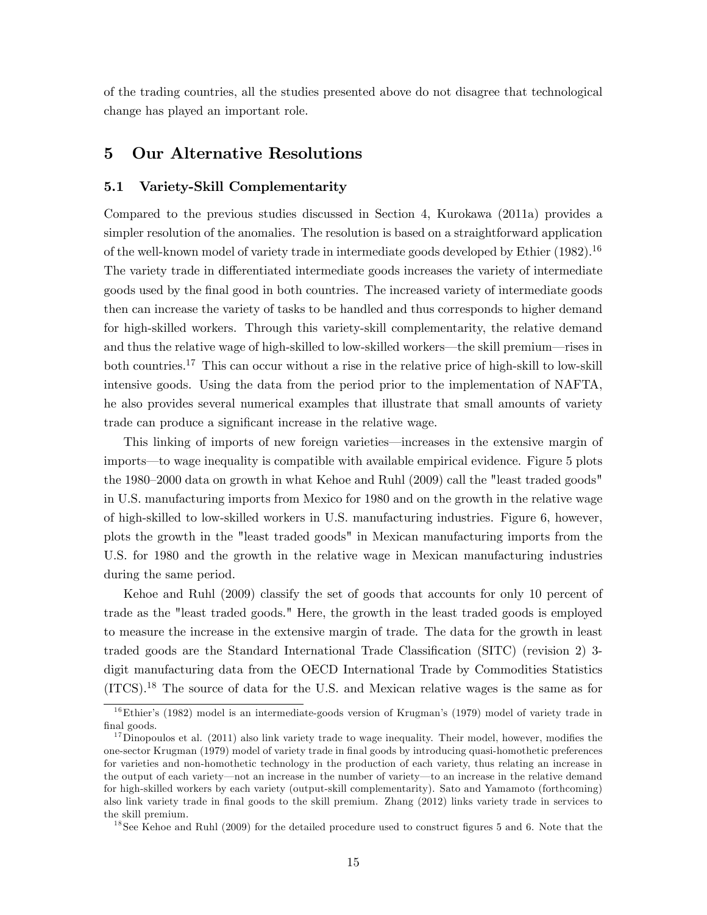of the trading countries, all the studies presented above do not disagree that technological change has played an important role.

## 5 Our Alternative Resolutions

#### 5.1 Variety-Skill Complementarity

Compared to the previous studies discussed in Section 4, Kurokawa (2011a) provides a simpler resolution of the anomalies. The resolution is based on a straightforward application of the well-known model of variety trade in intermediate goods developed by Ethier (1982).<sup>16</sup> The variety trade in differentiated intermediate goods increases the variety of intermediate goods used by the Önal good in both countries. The increased variety of intermediate goods then can increase the variety of tasks to be handled and thus corresponds to higher demand for high-skilled workers. Through this variety-skill complementarity, the relative demand and thus the relative wage of high-skilled to low-skilled workers—the skill premium—rises in both countries.<sup>17</sup> This can occur without a rise in the relative price of high-skill to low-skill intensive goods. Using the data from the period prior to the implementation of NAFTA, he also provides several numerical examples that illustrate that small amounts of variety trade can produce a significant increase in the relative wage.

This linking of imports of new foreign varieties—increases in the extensive margin of imports—to wage inequality is compatible with available empirical evidence. Figure 5 plots the  $1980-2000$  data on growth in what Kehoe and Ruhl  $(2009)$  call the "least traded goods" in U.S. manufacturing imports from Mexico for 1980 and on the growth in the relative wage of high-skilled to low-skilled workers in U.S. manufacturing industries. Figure 6, however, plots the growth in the "least traded goods" in Mexican manufacturing imports from the U.S. for 1980 and the growth in the relative wage in Mexican manufacturing industries during the same period.

Kehoe and Ruhl (2009) classify the set of goods that accounts for only 10 percent of trade as the "least traded goods." Here, the growth in the least traded goods is employed to measure the increase in the extensive margin of trade. The data for the growth in least traded goods are the Standard International Trade Classification (SITC) (revision 2) 3digit manufacturing data from the OECD International Trade by Commodities Statistics (ITCS).<sup>18</sup> The source of data for the U.S. and Mexican relative wages is the same as for

 $18$  See Kehoe and Ruhl (2009) for the detailed procedure used to construct figures 5 and 6. Note that the

<sup>&</sup>lt;sup>16</sup>Ethier's (1982) model is an intermediate-goods version of Krugman's (1979) model of variety trade in final goods.

 $17$  Dinopoulos et al. (2011) also link variety trade to wage inequality. Their model, however, modifies the one-sector Krugman (1979) model of variety trade in Önal goods by introducing quasi-homothetic preferences for varieties and non-homothetic technology in the production of each variety, thus relating an increase in the output of each variety—not an increase in the number of variety—to an increase in the relative demand for high-skilled workers by each variety (output-skill complementarity). Sato and Yamamoto (forthcoming) also link variety trade in Önal goods to the skill premium. Zhang (2012) links variety trade in services to the skill premium.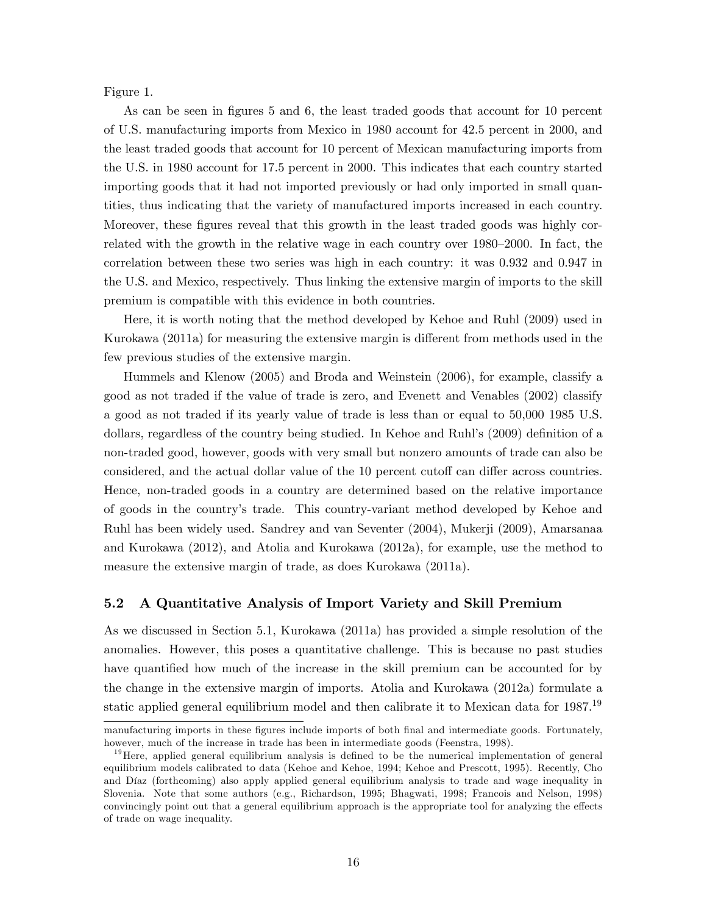Figure 1.

As can be seen in figures 5 and 6, the least traded goods that account for 10 percent of U.S. manufacturing imports from Mexico in 1980 account for 42.5 percent in 2000, and the least traded goods that account for 10 percent of Mexican manufacturing imports from the U.S. in 1980 account for 17.5 percent in 2000. This indicates that each country started importing goods that it had not imported previously or had only imported in small quantities, thus indicating that the variety of manufactured imports increased in each country. Moreover, these figures reveal that this growth in the least traded goods was highly correlated with the growth in the relative wage in each country over  $1980-2000$ . In fact, the correlation between these two series was high in each country: it was 0.932 and 0.947 in the U.S. and Mexico, respectively. Thus linking the extensive margin of imports to the skill premium is compatible with this evidence in both countries.

Here, it is worth noting that the method developed by Kehoe and Ruhl (2009) used in Kurokawa  $(2011a)$  for measuring the extensive margin is different from methods used in the few previous studies of the extensive margin.

Hummels and Klenow (2005) and Broda and Weinstein (2006), for example, classify a good as not traded if the value of trade is zero, and Evenett and Venables (2002) classify a good as not traded if its yearly value of trade is less than or equal to 50,000 1985 U.S. dollars, regardless of the country being studied. In Kehoe and Ruhl's (2009) definition of a non-traded good, however, goods with very small but nonzero amounts of trade can also be considered, and the actual dollar value of the 10 percent cutoff can differ across countries. Hence, non-traded goods in a country are determined based on the relative importance of goods in the countryís trade. This country-variant method developed by Kehoe and Ruhl has been widely used. Sandrey and van Seventer (2004), Mukerji (2009), Amarsanaa and Kurokawa (2012), and Atolia and Kurokawa (2012a), for example, use the method to measure the extensive margin of trade, as does Kurokawa (2011a).

#### 5.2 A Quantitative Analysis of Import Variety and Skill Premium

As we discussed in Section 5.1, Kurokawa (2011a) has provided a simple resolution of the anomalies. However, this poses a quantitative challenge. This is because no past studies have quantified how much of the increase in the skill premium can be accounted for by the change in the extensive margin of imports. Atolia and Kurokawa (2012a) formulate a static applied general equilibrium model and then calibrate it to Mexican data for  $1987^{19}$ 

manufacturing imports in these figures include imports of both final and intermediate goods. Fortunately, however, much of the increase in trade has been in intermediate goods (Feenstra, 1998).

 $19$  Here, applied general equilibrium analysis is defined to be the numerical implementation of general equilibrium models calibrated to data (Kehoe and Kehoe, 1994; Kehoe and Prescott, 1995). Recently, Cho and DÌaz (forthcoming) also apply applied general equilibrium analysis to trade and wage inequality in Slovenia. Note that some authors (e.g., Richardson, 1995; Bhagwati, 1998; Francois and Nelson, 1998) convincingly point out that a general equilibrium approach is the appropriate tool for analyzing the effects of trade on wage inequality.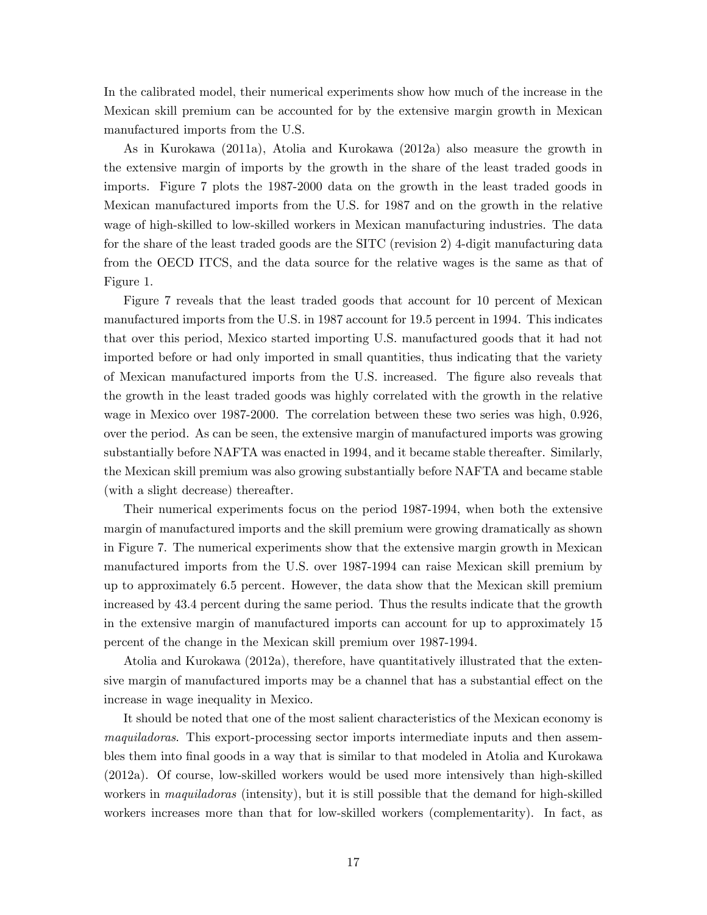In the calibrated model, their numerical experiments show how much of the increase in the Mexican skill premium can be accounted for by the extensive margin growth in Mexican manufactured imports from the U.S.

As in Kurokawa (2011a), Atolia and Kurokawa (2012a) also measure the growth in the extensive margin of imports by the growth in the share of the least traded goods in imports. Figure 7 plots the 1987-2000 data on the growth in the least traded goods in Mexican manufactured imports from the U.S. for 1987 and on the growth in the relative wage of high-skilled to low-skilled workers in Mexican manufacturing industries. The data for the share of the least traded goods are the SITC (revision 2) 4-digit manufacturing data from the OECD ITCS, and the data source for the relative wages is the same as that of Figure 1.

Figure 7 reveals that the least traded goods that account for 10 percent of Mexican manufactured imports from the U.S. in 1987 account for 19.5 percent in 1994. This indicates that over this period, Mexico started importing U.S. manufactured goods that it had not imported before or had only imported in small quantities, thus indicating that the variety of Mexican manufactured imports from the U.S. increased. The Ögure also reveals that the growth in the least traded goods was highly correlated with the growth in the relative wage in Mexico over 1987-2000. The correlation between these two series was high, 0.926, over the period. As can be seen, the extensive margin of manufactured imports was growing substantially before NAFTA was enacted in 1994, and it became stable thereafter. Similarly, the Mexican skill premium was also growing substantially before NAFTA and became stable (with a slight decrease) thereafter.

Their numerical experiments focus on the period 1987-1994, when both the extensive margin of manufactured imports and the skill premium were growing dramatically as shown in Figure 7. The numerical experiments show that the extensive margin growth in Mexican manufactured imports from the U.S. over 1987-1994 can raise Mexican skill premium by up to approximately 6.5 percent. However, the data show that the Mexican skill premium increased by 43.4 percent during the same period. Thus the results indicate that the growth in the extensive margin of manufactured imports can account for up to approximately 15 percent of the change in the Mexican skill premium over 1987-1994.

Atolia and Kurokawa (2012a), therefore, have quantitatively illustrated that the extensive margin of manufactured imports may be a channel that has a substantial effect on the increase in wage inequality in Mexico.

It should be noted that one of the most salient characteristics of the Mexican economy is maquiladoras. This export-processing sector imports intermediate inputs and then assembles them into Önal goods in a way that is similar to that modeled in Atolia and Kurokawa (2012a). Of course, low-skilled workers would be used more intensively than high-skilled workers in *maquiladoras* (intensity), but it is still possible that the demand for high-skilled workers increases more than that for low-skilled workers (complementarity). In fact, as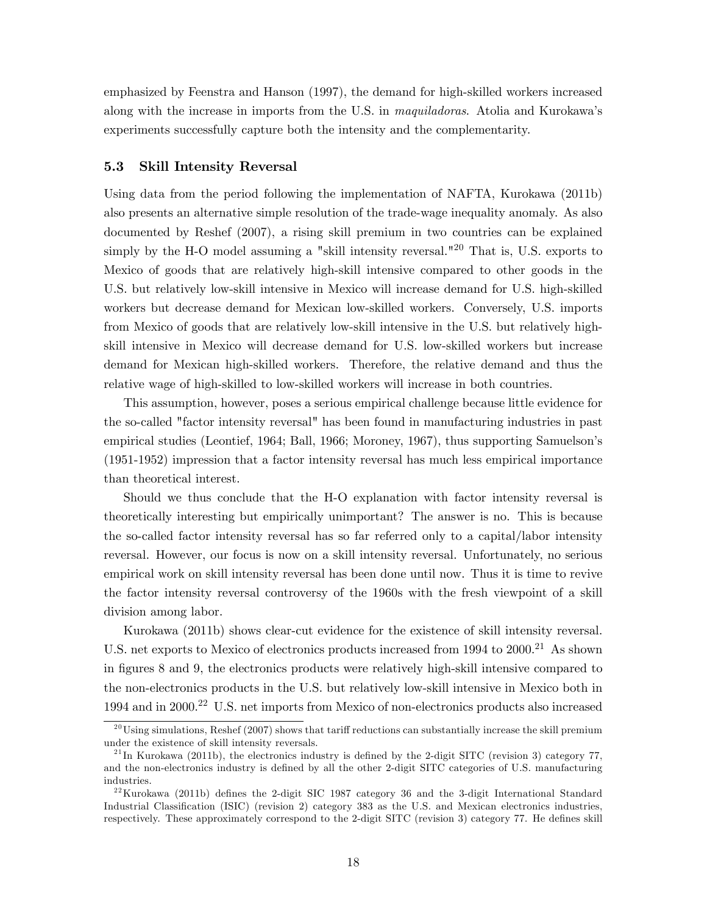emphasized by Feenstra and Hanson (1997), the demand for high-skilled workers increased along with the increase in imports from the U.S. in *maquiladoras*. Atolia and Kurokawa's experiments successfully capture both the intensity and the complementarity.

#### 5.3 Skill Intensity Reversal

Using data from the period following the implementation of NAFTA, Kurokawa (2011b) also presents an alternative simple resolution of the trade-wage inequality anomaly. As also documented by Reshef (2007), a rising skill premium in two countries can be explained simply by the H-O model assuming a "skill intensity reversal."<sup>20</sup> That is, U.S. exports to Mexico of goods that are relatively high-skill intensive compared to other goods in the U.S. but relatively low-skill intensive in Mexico will increase demand for U.S. high-skilled workers but decrease demand for Mexican low-skilled workers. Conversely, U.S. imports from Mexico of goods that are relatively low-skill intensive in the U.S. but relatively highskill intensive in Mexico will decrease demand for U.S. low-skilled workers but increase demand for Mexican high-skilled workers. Therefore, the relative demand and thus the relative wage of high-skilled to low-skilled workers will increase in both countries.

This assumption, however, poses a serious empirical challenge because little evidence for the so-called "factor intensity reversal" has been found in manufacturing industries in past empirical studies (Leontief, 1964; Ball, 1966; Moroney, 1967), thus supporting Samuelsonís (1951-1952) impression that a factor intensity reversal has much less empirical importance than theoretical interest.

Should we thus conclude that the H-O explanation with factor intensity reversal is theoretically interesting but empirically unimportant? The answer is no. This is because the so-called factor intensity reversal has so far referred only to a capital/labor intensity reversal. However, our focus is now on a skill intensity reversal. Unfortunately, no serious empirical work on skill intensity reversal has been done until now. Thus it is time to revive the factor intensity reversal controversy of the 1960s with the fresh viewpoint of a skill division among labor.

Kurokawa (2011b) shows clear-cut evidence for the existence of skill intensity reversal. U.S. net exports to Mexico of electronics products increased from 1994 to 2000.<sup>21</sup> As shown in figures 8 and 9, the electronics products were relatively high-skill intensive compared to the non-electronics products in the U.S. but relatively low-skill intensive in Mexico both in 1994 and in 2000.<sup>22</sup> U.S. net imports from Mexico of non-electronics products also increased

 $^{20}$ Using simulations, Reshef (2007) shows that tariff reductions can substantially increase the skill premium under the existence of skill intensity reversals.

 $^{21}$ In Kurokawa (2011b), the electronics industry is defined by the 2-digit SITC (revision 3) category 77, and the non-electronics industry is defined by all the other 2-digit SITC categories of U.S. manufacturing industries.

 $22$ Kurokawa (2011b) defines the 2-digit SIC 1987 category 36 and the 3-digit International Standard Industrial Classification (ISIC) (revision 2) category 383 as the U.S. and Mexican electronics industries, respectively. These approximately correspond to the 2-digit SITC (revision 3) category 77. He defines skill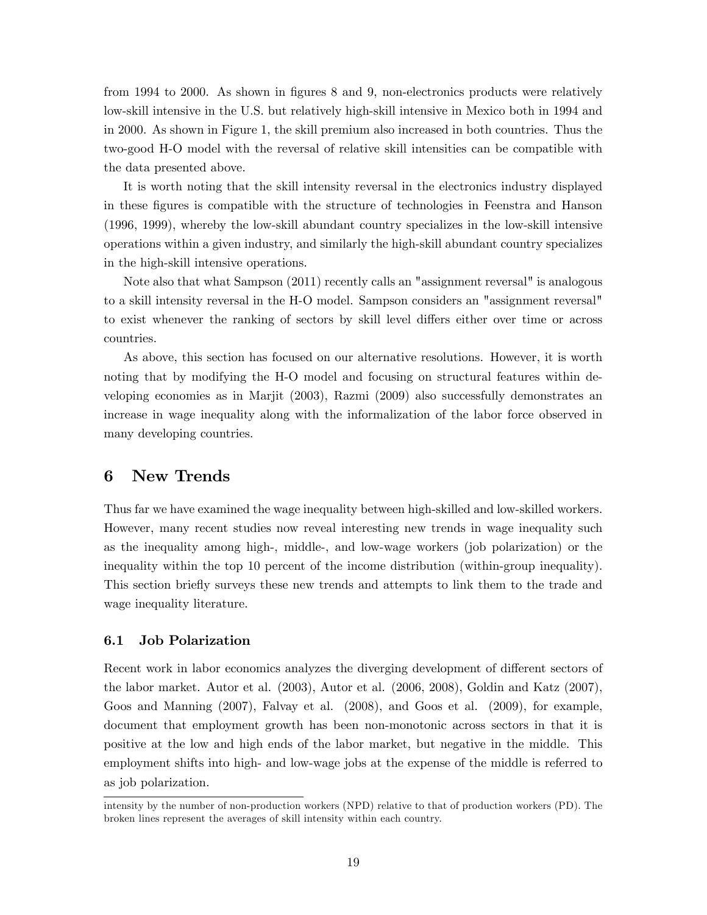from 1994 to 2000. As shown in figures 8 and 9, non-electronics products were relatively low-skill intensive in the U.S. but relatively high-skill intensive in Mexico both in 1994 and in 2000. As shown in Figure 1, the skill premium also increased in both countries. Thus the two-good H-O model with the reversal of relative skill intensities can be compatible with the data presented above.

It is worth noting that the skill intensity reversal in the electronics industry displayed in these Ögures is compatible with the structure of technologies in Feenstra and Hanson (1996, 1999), whereby the low-skill abundant country specializes in the low-skill intensive operations within a given industry, and similarly the high-skill abundant country specializes in the high-skill intensive operations.

Note also that what Sampson (2011) recently calls an "assignment reversal" is analogous to a skill intensity reversal in the H-O model. Sampson considers an "assignment reversal" to exist whenever the ranking of sectors by skill level differs either over time or across countries.

As above, this section has focused on our alternative resolutions. However, it is worth noting that by modifying the H-O model and focusing on structural features within developing economies as in Marjit (2003), Razmi (2009) also successfully demonstrates an increase in wage inequality along with the informalization of the labor force observed in many developing countries.

## 6 New Trends

Thus far we have examined the wage inequality between high-skilled and low-skilled workers. However, many recent studies now reveal interesting new trends in wage inequality such as the inequality among high-, middle-, and low-wage workers (job polarization) or the inequality within the top 10 percent of the income distribution (within-group inequality). This section briefly surveys these new trends and attempts to link them to the trade and wage inequality literature.

## 6.1 Job Polarization

Recent work in labor economics analyzes the diverging development of different sectors of the labor market. Autor et al. (2003), Autor et al. (2006, 2008), Goldin and Katz (2007), Goos and Manning (2007), Falvay et al. (2008), and Goos et al. (2009), for example, document that employment growth has been non-monotonic across sectors in that it is positive at the low and high ends of the labor market, but negative in the middle. This employment shifts into high- and low-wage jobs at the expense of the middle is referred to as job polarization.

intensity by the number of non-production workers (NPD) relative to that of production workers (PD). The broken lines represent the averages of skill intensity within each country.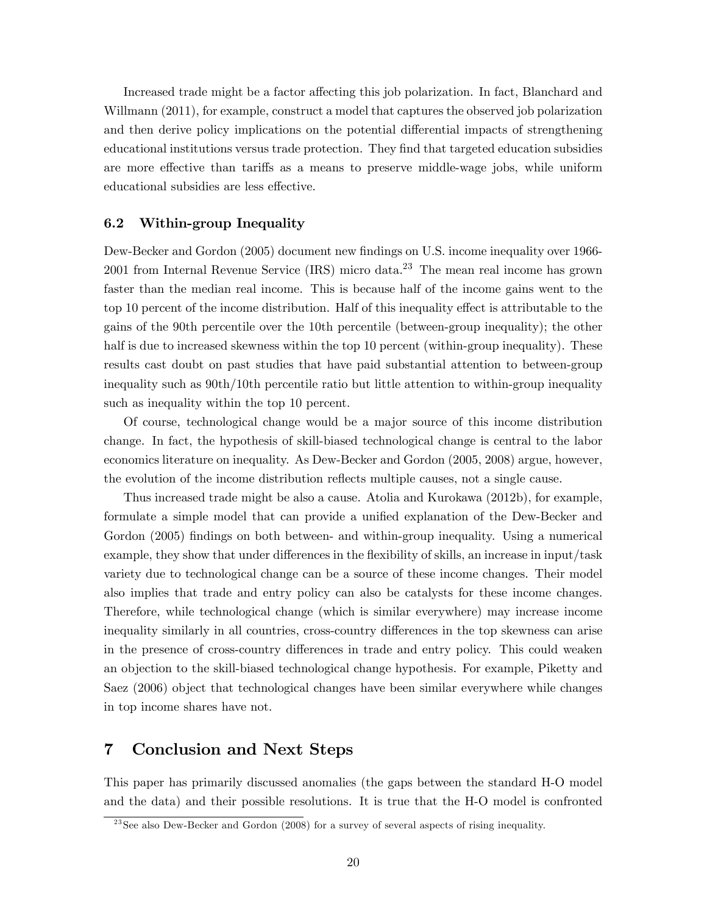Increased trade might be a factor affecting this job polarization. In fact, Blanchard and Willmann (2011), for example, construct a model that captures the observed job polarization and then derive policy implications on the potential differential impacts of strengthening educational institutions versus trade protection. They find that targeted education subsidies are more effective than tariffs as a means to preserve middle-wage jobs, while uniform educational subsidies are less effective.

#### 6.2 Within-group Inequality

Dew-Becker and Gordon (2005) document new findings on U.S. income inequality over 1966-2001 from Internal Revenue Service  $(IRS)$  micro data.<sup>23</sup> The mean real income has grown faster than the median real income. This is because half of the income gains went to the top 10 percent of the income distribution. Half of this inequality effect is attributable to the gains of the 90th percentile over the 10th percentile (between-group inequality); the other half is due to increased skewness within the top 10 percent (within-group inequality). These results cast doubt on past studies that have paid substantial attention to between-group inequality such as 90th/10th percentile ratio but little attention to within-group inequality such as inequality within the top 10 percent.

Of course, technological change would be a major source of this income distribution change. In fact, the hypothesis of skill-biased technological change is central to the labor economics literature on inequality. As Dew-Becker and Gordon (2005, 2008) argue, however, the evolution of the income distribution reflects multiple causes, not a single cause.

Thus increased trade might be also a cause. Atolia and Kurokawa (2012b), for example, formulate a simple model that can provide a unified explanation of the Dew-Becker and Gordon (2005) findings on both between- and within-group inequality. Using a numerical example, they show that under differences in the flexibility of skills, an increase in input/task variety due to technological change can be a source of these income changes. Their model also implies that trade and entry policy can also be catalysts for these income changes. Therefore, while technological change (which is similar everywhere) may increase income inequality similarly in all countries, cross-country differences in the top skewness can arise in the presence of cross-country differences in trade and entry policy. This could weaken an objection to the skill-biased technological change hypothesis. For example, Piketty and Saez (2006) object that technological changes have been similar everywhere while changes in top income shares have not.

# 7 Conclusion and Next Steps

This paper has primarily discussed anomalies (the gaps between the standard H-O model and the data) and their possible resolutions. It is true that the H-O model is confronted

 $23$ See also Dew-Becker and Gordon (2008) for a survey of several aspects of rising inequality.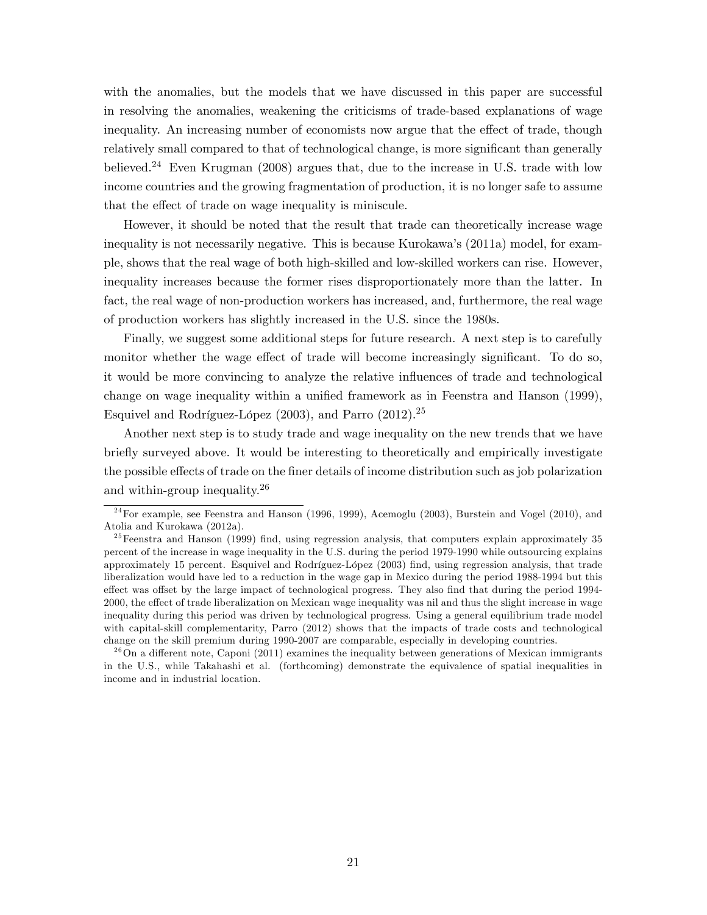with the anomalies, but the models that we have discussed in this paper are successful in resolving the anomalies, weakening the criticisms of trade-based explanations of wage inequality. An increasing number of economists now argue that the effect of trade, though relatively small compared to that of technological change, is more significant than generally believed.<sup>24</sup> Even Krugman (2008) argues that, due to the increase in U.S. trade with low income countries and the growing fragmentation of production, it is no longer safe to assume that the effect of trade on wage inequality is miniscule.

However, it should be noted that the result that trade can theoretically increase wage inequality is not necessarily negative. This is because Kurokawaís (2011a) model, for example, shows that the real wage of both high-skilled and low-skilled workers can rise. However, inequality increases because the former rises disproportionately more than the latter. In fact, the real wage of non-production workers has increased, and, furthermore, the real wage of production workers has slightly increased in the U.S. since the 1980s.

Finally, we suggest some additional steps for future research. A next step is to carefully monitor whether the wage effect of trade will become increasingly significant. To do so, it would be more convincing to analyze the relative influences of trade and technological change on wage inequality within a unified framework as in Feenstra and Hanson  $(1999)$ , Esquivel and Rodríguez-López (2003), and Parro (2012).<sup>25</sup>

Another next step is to study trade and wage inequality on the new trends that we have briefly surveyed above. It would be interesting to theoretically and empirically investigate the possible effects of trade on the finer details of income distribution such as job polarization and within-group inequality.<sup>26</sup>

 $24$  For example, see Feenstra and Hanson (1996, 1999), Acemoglu (2003), Burstein and Vogel (2010), and Atolia and Kurokawa (2012a).

 $25$  Feenstra and Hanson (1999) find, using regression analysis, that computers explain approximately 35 percent of the increase in wage inequality in the U.S. during the period 1979-1990 while outsourcing explains approximately 15 percent. Esquivel and Rodríguez-López (2003) find, using regression analysis, that trade liberalization would have led to a reduction in the wage gap in Mexico during the period 1988-1994 but this effect was offset by the large impact of technological progress. They also find that during the period 1994-2000, the effect of trade liberalization on Mexican wage inequality was nil and thus the slight increase in wage inequality during this period was driven by technological progress. Using a general equilibrium trade model with capital-skill complementarity, Parro (2012) shows that the impacts of trade costs and technological change on the skill premium during 1990-2007 are comparable, especially in developing countries.

 $^{26}$ On a different note, Caponi (2011) examines the inequality between generations of Mexican immigrants in the U.S., while Takahashi et al. (forthcoming) demonstrate the equivalence of spatial inequalities in income and in industrial location.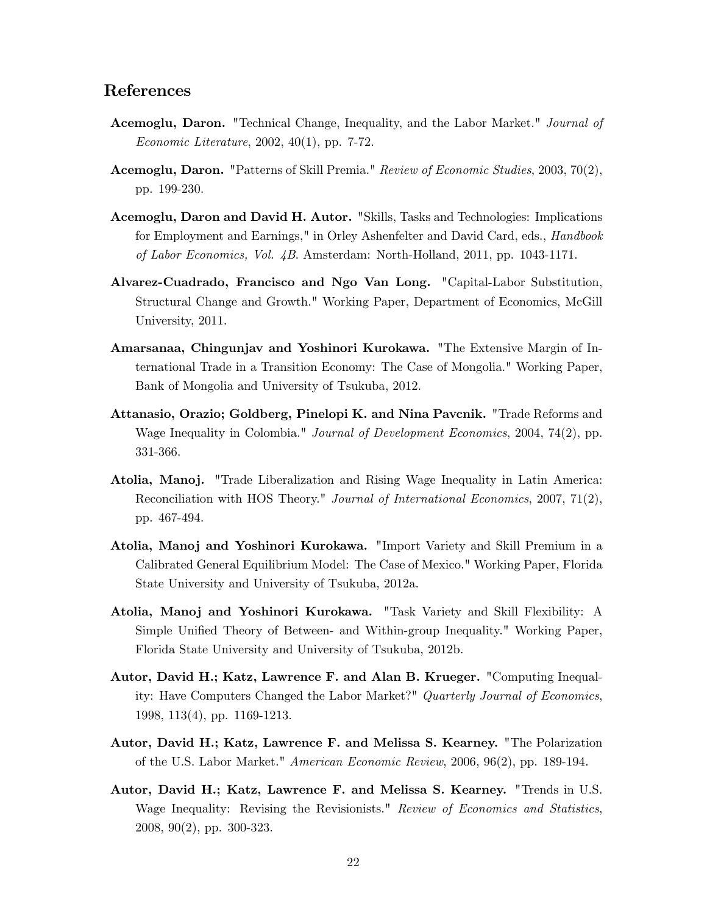# References

- Acemoglu, Daron. "Technical Change, Inequality, and the Labor Market." Journal of *Economic Literature,* 2002, 40(1), pp. 7-72.
- Acemoglu, Daron. "Patterns of Skill Premia." Review of Economic Studies, 2003, 70(2), pp. 199-230.
- Acemoglu, Daron and David H. Autor. "Skills, Tasks and Technologies: Implications for Employment and Earnings," in Orley Ashenfelter and David Card, eds., Handbook of Labor Economics, Vol. 4B. Amsterdam: North-Holland, 2011, pp. 1043-1171.
- Alvarez-Cuadrado, Francisco and Ngo Van Long. "Capital-Labor Substitution, Structural Change and Growth." Working Paper, Department of Economics, McGill University, 2011.
- Amarsanaa, Chingunjav and Yoshinori Kurokawa. "The Extensive Margin of International Trade in a Transition Economy: The Case of Mongolia." Working Paper, Bank of Mongolia and University of Tsukuba, 2012.
- Attanasio, Orazio; Goldberg, Pinelopi K. and Nina Pavcnik. "Trade Reforms and Wage Inequality in Colombia." Journal of Development Economics, 2004, 74(2), pp. 331-366.
- Atolia, Manoj. "Trade Liberalization and Rising Wage Inequality in Latin America: Reconciliation with HOS Theory." Journal of International Economics, 2007, 71(2), pp. 467-494.
- Atolia, Manoj and Yoshinori Kurokawa. "Import Variety and Skill Premium in a Calibrated General Equilibrium Model: The Case of Mexico." Working Paper, Florida State University and University of Tsukuba, 2012a.
- Atolia, Manoj and Yoshinori Kurokawa. "Task Variety and Skill Flexibility: A Simple Unified Theory of Between- and Within-group Inequality." Working Paper, Florida State University and University of Tsukuba, 2012b.
- Autor, David H.; Katz, Lawrence F. and Alan B. Krueger. "Computing Inequality: Have Computers Changed the Labor Market?" Quarterly Journal of Economics, 1998, 113(4), pp. 1169-1213.
- Autor, David H.; Katz, Lawrence F. and Melissa S. Kearney. "The Polarization of the U.S. Labor Market." American Economic Review, 2006, 96(2), pp. 189-194.
- Autor, David H.; Katz, Lawrence F. and Melissa S. Kearney. "Trends in U.S. Wage Inequality: Revising the Revisionists." Review of Economics and Statistics, 2008, 90(2), pp. 300-323.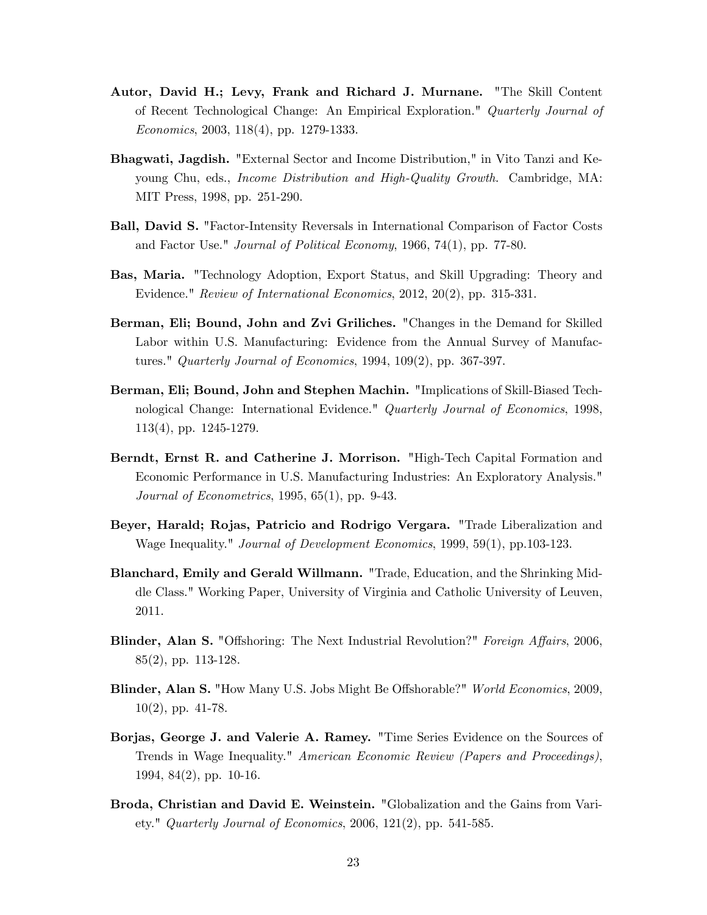- Autor, David H.; Levy, Frank and Richard J. Murnane. "The Skill Content of Recent Technological Change: An Empirical Exploration." Quarterly Journal of Economics, 2003, 118(4), pp. 1279-1333.
- Bhagwati, Jagdish. "External Sector and Income Distribution," in Vito Tanzi and Keyoung Chu, eds., Income Distribution and High-Quality Growth. Cambridge, MA: MIT Press, 1998, pp. 251-290.
- Ball, David S. "Factor-Intensity Reversals in International Comparison of Factor Costs and Factor Use." Journal of Political Economy, 1966, 74(1), pp. 77-80.
- Bas, Maria. "Technology Adoption, Export Status, and Skill Upgrading: Theory and Evidence." Review of International Economics, 2012, 20(2), pp. 315-331.
- Berman, Eli; Bound, John and Zvi Griliches. "Changes in the Demand for Skilled Labor within U.S. Manufacturing: Evidence from the Annual Survey of Manufactures." Quarterly Journal of Economics, 1994, 109(2), pp. 367-397.
- Berman, Eli; Bound, John and Stephen Machin. "Implications of Skill-Biased Technological Change: International Evidence." Quarterly Journal of Economics, 1998, 113(4), pp. 1245-1279.
- Berndt, Ernst R. and Catherine J. Morrison. "High-Tech Capital Formation and Economic Performance in U.S. Manufacturing Industries: An Exploratory Analysis." Journal of Econometrics, 1995, 65(1), pp. 9-43.
- Beyer, Harald; Rojas, Patricio and Rodrigo Vergara. "Trade Liberalization and Wage Inequality." Journal of Development Economics, 1999, 59(1), pp.103-123.
- Blanchard, Emily and Gerald Willmann. "Trade, Education, and the Shrinking Middle Class." Working Paper, University of Virginia and Catholic University of Leuven, 2011.
- Blinder, Alan S. "Offshoring: The Next Industrial Revolution?" Foreign Affairs, 2006, 85(2), pp. 113-128.
- Blinder, Alan S. "How Many U.S. Jobs Might Be Offshorable?" World Economics, 2009,  $10(2)$ , pp. 41-78.
- Borjas, George J. and Valerie A. Ramey. "Time Series Evidence on the Sources of Trends in Wage Inequality." American Economic Review (Papers and Proceedings), 1994, 84(2), pp. 10-16.
- Broda, Christian and David E. Weinstein. "Globalization and the Gains from Variety." Quarterly Journal of Economics, 2006,  $121(2)$ , pp. 541-585.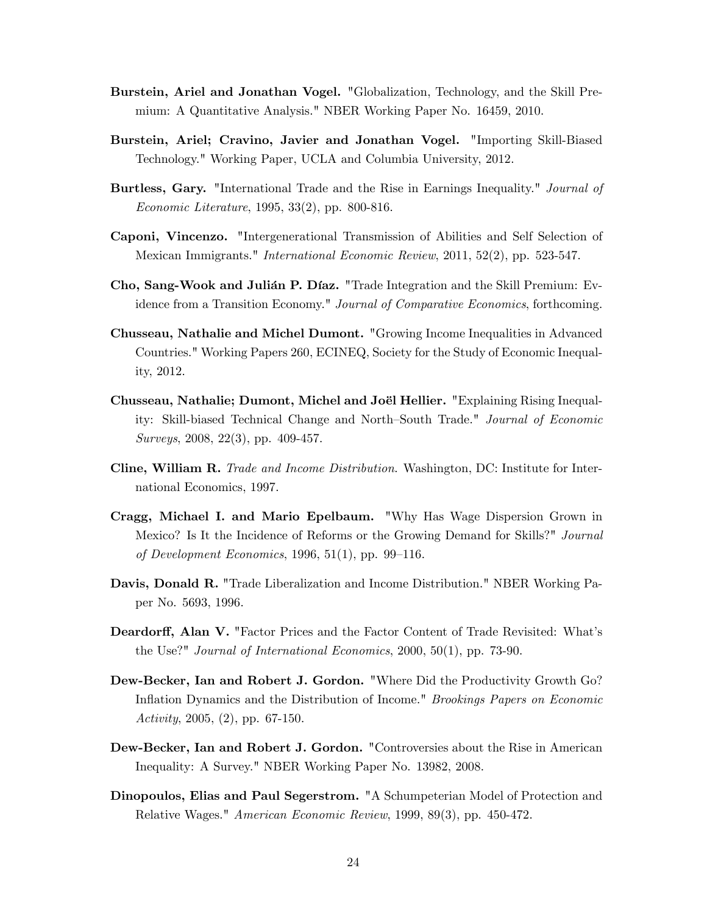- Burstein, Ariel and Jonathan Vogel. "Globalization, Technology, and the Skill Premium: A Quantitative Analysis." NBER Working Paper No. 16459, 2010.
- Burstein, Ariel; Cravino, Javier and Jonathan Vogel. "Importing Skill-Biased Technology." Working Paper, UCLA and Columbia University, 2012.
- Burtless, Gary. "International Trade and the Rise in Earnings Inequality." Journal of Economic Literature, 1995, 33(2), pp. 800-816.
- Caponi, Vincenzo. "Intergenerational Transmission of Abilities and Self Selection of Mexican Immigrants." International Economic Review, 2011, 52(2), pp. 523-547.
- Cho, Sang-Wook and Julian P. Diaz. "Trade Integration and the Skill Premium: Evidence from a Transition Economy." Journal of Comparative Economics, forthcoming.
- Chusseau, Nathalie and Michel Dumont. "Growing Income Inequalities in Advanced Countries." Working Papers 260, ECINEQ, Society for the Study of Economic Inequality, 2012.
- Chusseau, Nathalie; Dumont, Michel and Joël Hellier. "Explaining Rising Inequality: Skill-biased Technical Change and North-South Trade." Journal of Economic Surveys, 2008, 22(3), pp. 409-457.
- Cline, William R. Trade and Income Distribution. Washington, DC: Institute for International Economics, 1997.
- Cragg, Michael I. and Mario Epelbaum. "Why Has Wage Dispersion Grown in Mexico? Is It the Incidence of Reforms or the Growing Demand for Skills?" *Journal* of Development Economics, 1996, 51(1), pp. 99–116.
- Davis, Donald R. "Trade Liberalization and Income Distribution." NBER Working Paper No. 5693, 1996.
- Deardorff, Alan V. "Factor Prices and the Factor Content of Trade Revisited: What's the Use?" Journal of International Economics, 2000, 50(1), pp. 73-90.
- Dew-Becker, Ian and Robert J. Gordon. "Where Did the Productivity Growth Go? Inflation Dynamics and the Distribution of Income." Brookings Papers on Economic Activity, 2005,  $(2)$ , pp. 67-150.
- Dew-Becker, Ian and Robert J. Gordon. "Controversies about the Rise in American Inequality: A Survey." NBER Working Paper No. 13982, 2008.
- Dinopoulos, Elias and Paul Segerstrom. "A Schumpeterian Model of Protection and Relative Wages." American Economic Review, 1999, 89(3), pp. 450-472.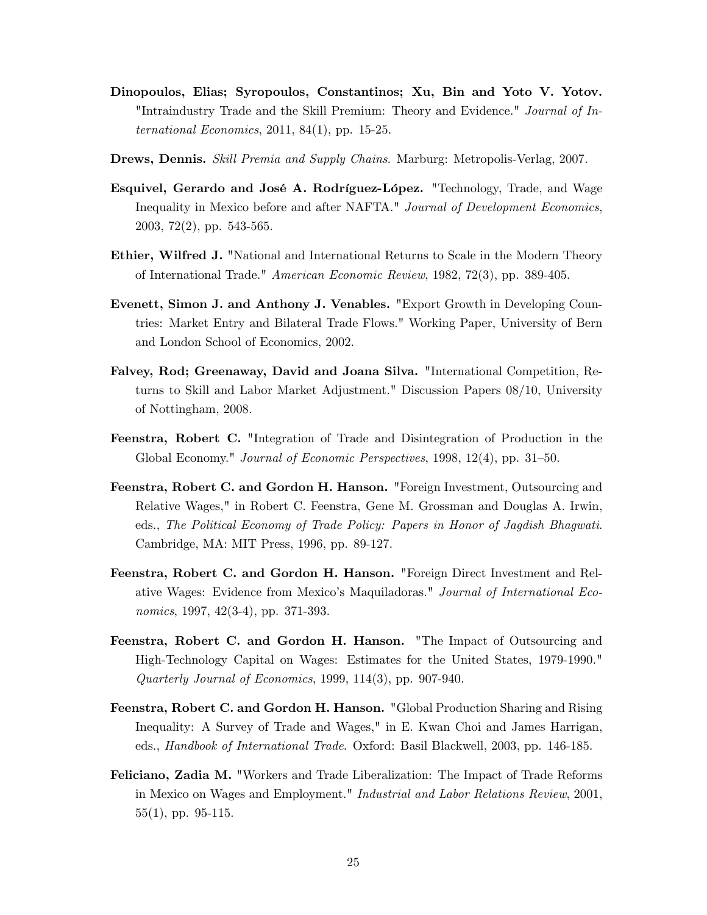- Dinopoulos, Elias; Syropoulos, Constantinos; Xu, Bin and Yoto V. Yotov. "Intraindustry Trade and the Skill Premium: Theory and Evidence." *Journal of In*ternational Economics,  $2011, 84(1)$ , pp. 15-25.
- Drews, Dennis. Skill Premia and Supply Chains. Marburg: Metropolis-Verlag, 2007.
- Esquivel, Gerardo and José A. Rodríguez-López. "Technology, Trade, and Wage Inequality in Mexico before and after NAFTA." Journal of Development Economics, 2003, 72(2), pp. 543-565.
- Ethier, Wilfred J. "National and International Returns to Scale in the Modern Theory of International Trade." American Economic Review, 1982, 72(3), pp. 389-405.
- Evenett, Simon J. and Anthony J. Venables. "Export Growth in Developing Countries: Market Entry and Bilateral Trade Flows." Working Paper, University of Bern and London School of Economics, 2002.
- Falvey, Rod; Greenaway, David and Joana Silva. "International Competition, Returns to Skill and Labor Market Adjustment." Discussion Papers 08/10, University of Nottingham, 2008.
- Feenstra, Robert C. "Integration of Trade and Disintegration of Production in the Global Economy." Journal of Economic Perspectives, 1998, 12(4), pp. 31–50.
- Feenstra, Robert C. and Gordon H. Hanson. "Foreign Investment, Outsourcing and Relative Wages," in Robert C. Feenstra, Gene M. Grossman and Douglas A. Irwin, eds., The Political Economy of Trade Policy: Papers in Honor of Jagdish Bhagwati. Cambridge, MA: MIT Press, 1996, pp. 89-127.
- Feenstra, Robert C. and Gordon H. Hanson. "Foreign Direct Investment and Relative Wages: Evidence from Mexicoís Maquiladoras." Journal of International Economics, 1997, 42(3-4), pp. 371-393.
- Feenstra, Robert C. and Gordon H. Hanson. "The Impact of Outsourcing and High-Technology Capital on Wages: Estimates for the United States, 1979-1990." Quarterly Journal of Economics, 1999, 114(3), pp. 907-940.
- Feenstra, Robert C. and Gordon H. Hanson. "Global Production Sharing and Rising Inequality: A Survey of Trade and Wages," in E. Kwan Choi and James Harrigan, eds., Handbook of International Trade. Oxford: Basil Blackwell, 2003, pp. 146-185.
- Feliciano, Zadia M. "Workers and Trade Liberalization: The Impact of Trade Reforms in Mexico on Wages and Employment." Industrial and Labor Relations Review, 2001, 55(1), pp. 95-115.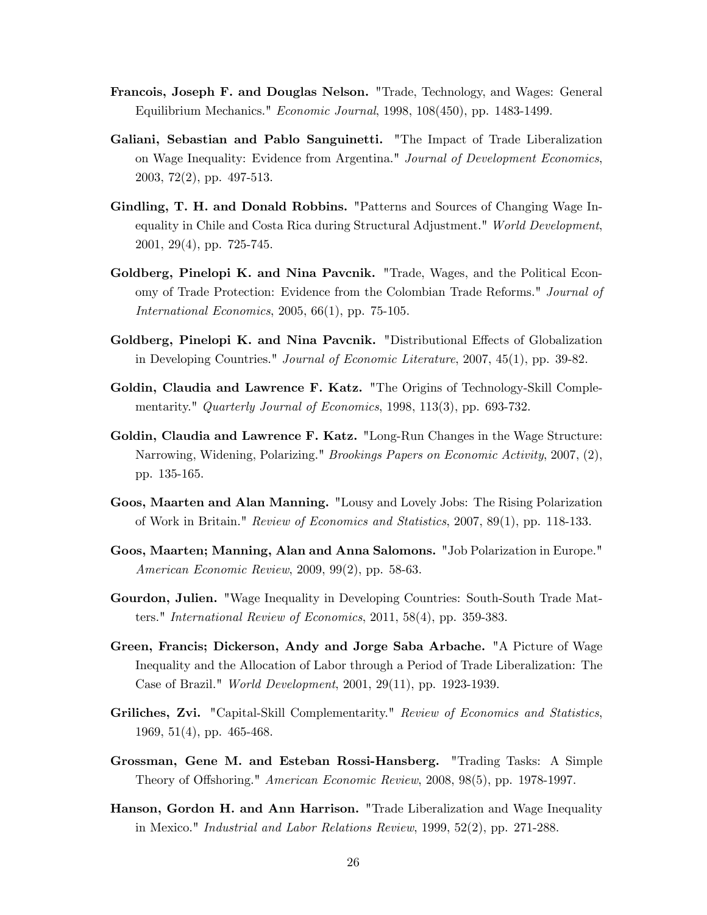- Francois, Joseph F. and Douglas Nelson. "Trade, Technology, and Wages: General Equilibrium Mechanics." Economic Journal, 1998, 108(450), pp. 1483-1499.
- Galiani, Sebastian and Pablo Sanguinetti. "The Impact of Trade Liberalization on Wage Inequality: Evidence from Argentina." Journal of Development Economics, 2003, 72(2), pp. 497-513.
- Gindling, T. H. and Donald Robbins. "Patterns and Sources of Changing Wage Inequality in Chile and Costa Rica during Structural Adjustment." World Development, 2001, 29(4), pp. 725-745.
- Goldberg, Pinelopi K. and Nina Pavcnik. "Trade, Wages, and the Political Economy of Trade Protection: Evidence from the Colombian Trade Reforms." Journal of International Economics, 2005, 66(1), pp. 75-105.
- Goldberg, Pinelopi K. and Nina Pavcnik. "Distributional Effects of Globalization in Developing Countries." Journal of Economic Literature, 2007, 45(1), pp. 39-82.
- Goldin, Claudia and Lawrence F. Katz. "The Origins of Technology-Skill Complementarity." Quarterly Journal of Economics, 1998, 113(3), pp. 693-732.
- Goldin, Claudia and Lawrence F. Katz. "Long-Run Changes in the Wage Structure: Narrowing, Widening, Polarizing." Brookings Papers on Economic Activity, 2007, (2), pp. 135-165.
- Goos, Maarten and Alan Manning. "Lousy and Lovely Jobs: The Rising Polarization of Work in Britain." Review of Economics and Statistics, 2007, 89(1), pp. 118-133.
- Goos, Maarten; Manning, Alan and Anna Salomons. "Job Polarization in Europe." American Economic Review, 2009, 99(2), pp. 58-63.
- Gourdon, Julien. "Wage Inequality in Developing Countries: South-South Trade Matters." International Review of Economics, 2011, 58(4), pp. 359-383.
- Green, Francis; Dickerson, Andy and Jorge Saba Arbache. "A Picture of Wage Inequality and the Allocation of Labor through a Period of Trade Liberalization: The Case of Brazil." World Development, 2001, 29(11), pp. 1923-1939.
- Griliches, Zvi. "Capital-Skill Complementarity." Review of Economics and Statistics, 1969, 51(4), pp. 465-468.
- Grossman, Gene M. and Esteban Rossi-Hansberg. "Trading Tasks: A Simple Theory of Offshoring." American Economic Review, 2008, 98(5), pp. 1978-1997.
- Hanson, Gordon H. and Ann Harrison. "Trade Liberalization and Wage Inequality in Mexico." Industrial and Labor Relations Review, 1999, 52(2), pp. 271-288.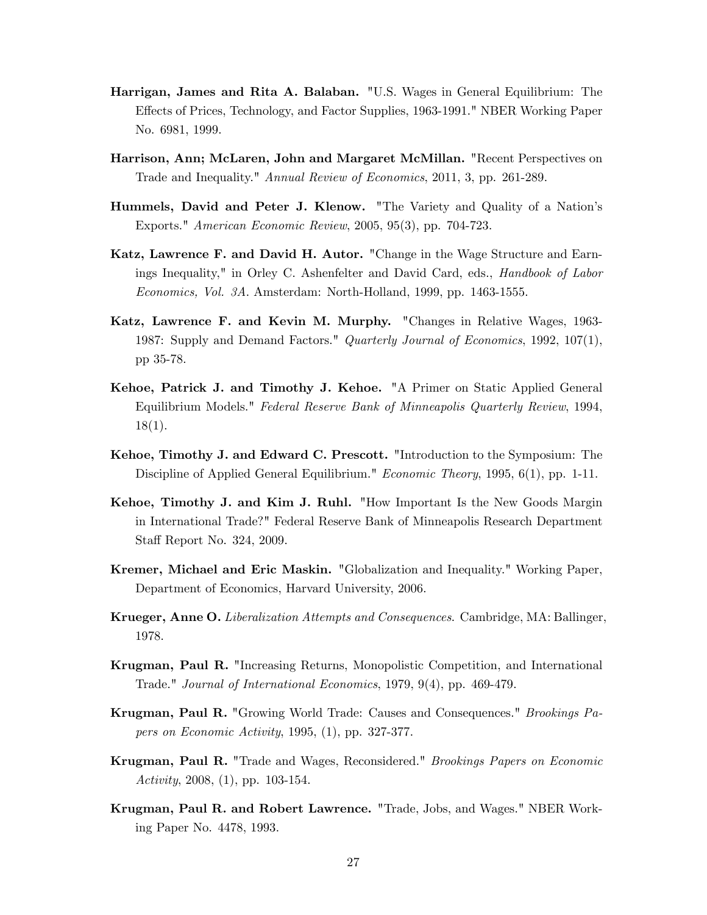- Harrigan, James and Rita A. Balaban. "U.S. Wages in General Equilibrium: The Effects of Prices, Technology, and Factor Supplies, 1963-1991." NBER Working Paper No. 6981, 1999.
- Harrison, Ann; McLaren, John and Margaret McMillan. "Recent Perspectives on Trade and Inequality." Annual Review of Economics, 2011, 3, pp. 261-289.
- Hummels, David and Peter J. Klenow. "The Variety and Quality of a Nationís Exports." American Economic Review, 2005, 95(3), pp. 704-723.
- Katz, Lawrence F. and David H. Autor. "Change in the Wage Structure and Earnings Inequality," in Orley C. Ashenfelter and David Card, eds., *Handbook of Labor* Economics, Vol. 3A. Amsterdam: North-Holland, 1999, pp. 1463-1555.
- Katz, Lawrence F. and Kevin M. Murphy. "Changes in Relative Wages, 1963- 1987: Supply and Demand Factors." Quarterly Journal of Economics, 1992, 107(1), pp 35-78.
- Kehoe, Patrick J. and Timothy J. Kehoe. "A Primer on Static Applied General Equilibrium Models." Federal Reserve Bank of Minneapolis Quarterly Review, 1994, 18(1).
- Kehoe, Timothy J. and Edward C. Prescott. "Introduction to the Symposium: The Discipline of Applied General Equilibrium." Economic Theory, 1995, 6(1), pp. 1-11.
- Kehoe, Timothy J. and Kim J. Ruhl. "How Important Is the New Goods Margin in International Trade?" Federal Reserve Bank of Minneapolis Research Department Staff Report No. 324, 2009.
- Kremer, Michael and Eric Maskin. "Globalization and Inequality." Working Paper, Department of Economics, Harvard University, 2006.
- Krueger, Anne O. Liberalization Attempts and Consequences. Cambridge, MA: Ballinger, 1978.
- Krugman, Paul R. "Increasing Returns, Monopolistic Competition, and International Trade." Journal of International Economics, 1979, 9(4), pp. 469-479.
- Krugman, Paul R. "Growing World Trade: Causes and Consequences." Brookings Papers on Economic Activity, 1995, (1), pp. 327-377.
- Krugman, Paul R. "Trade and Wages, Reconsidered." Brookings Papers on Economic Activity, 2008,  $(1)$ , pp. 103-154.
- Krugman, Paul R. and Robert Lawrence. "Trade, Jobs, and Wages." NBER Working Paper No. 4478, 1993.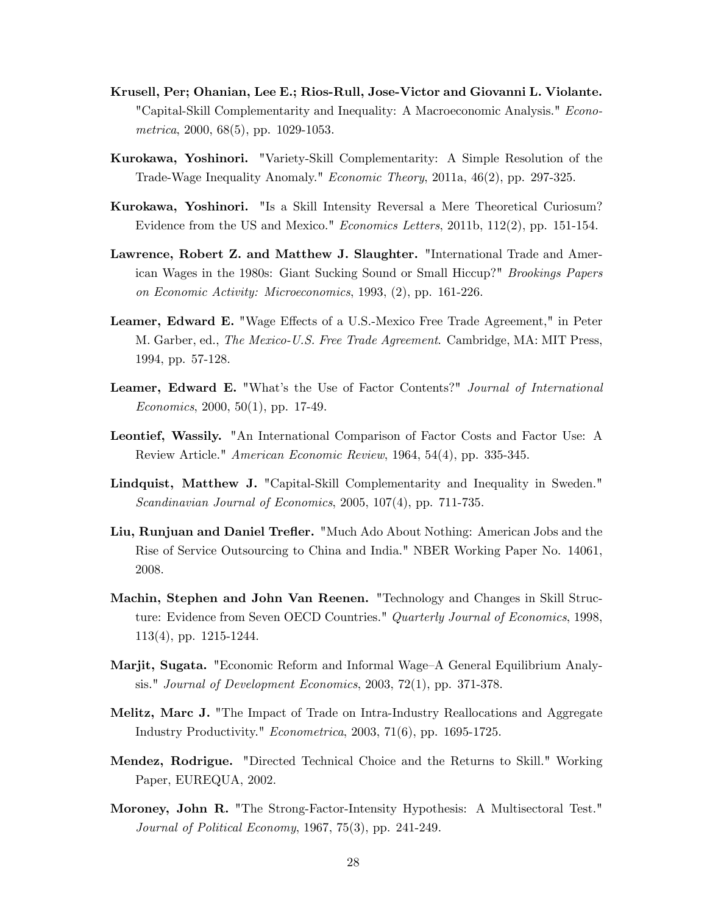- Krusell, Per; Ohanian, Lee E.; Rios-Rull, Jose-Victor and Giovanni L. Violante. "Capital-Skill Complementarity and Inequality: A Macroeconomic Analysis." Econometrica, 2000, 68(5), pp. 1029-1053.
- Kurokawa, Yoshinori. "Variety-Skill Complementarity: A Simple Resolution of the Trade-Wage Inequality Anomaly." Economic Theory, 2011a, 46(2), pp. 297-325.
- Kurokawa, Yoshinori. "Is a Skill Intensity Reversal a Mere Theoretical Curiosum? Evidence from the US and Mexico." Economics Letters, 2011b, 112(2), pp. 151-154.
- Lawrence, Robert Z. and Matthew J. Slaughter. "International Trade and American Wages in the 1980s: Giant Sucking Sound or Small Hiccup?" Brookings Papers on Economic Activity: Microeconomics, 1993, (2), pp. 161-226.
- Leamer, Edward E. "Wage Effects of a U.S.-Mexico Free Trade Agreement," in Peter M. Garber, ed., The Mexico-U.S. Free Trade Agreement. Cambridge, MA: MIT Press, 1994, pp. 57-128.
- Leamer, Edward E. "What's the Use of Factor Contents?" Journal of International Economics, 2000, 50(1), pp. 17-49.
- Leontief, Wassily. "An International Comparison of Factor Costs and Factor Use: A Review Article." American Economic Review, 1964, 54(4), pp. 335-345.
- Lindquist, Matthew J. "Capital-Skill Complementarity and Inequality in Sweden." Scandinavian Journal of Economics, 2005, 107(4), pp. 711-735.
- Liu, Runjuan and Daniel Trefler. "Much Ado About Nothing: American Jobs and the Rise of Service Outsourcing to China and India." NBER Working Paper No. 14061, 2008.
- Machin, Stephen and John Van Reenen. "Technology and Changes in Skill Structure: Evidence from Seven OECD Countries." Quarterly Journal of Economics, 1998, 113(4), pp. 1215-1244.
- Marjit, Sugata. "Economic Reform and Informal Wage–A General Equilibrium Analysis." Journal of Development Economics, 2003, 72(1), pp. 371-378.
- Melitz, Marc J. "The Impact of Trade on Intra-Industry Reallocations and Aggregate Industry Productivity." Econometrica, 2003, 71(6), pp. 1695-1725.
- Mendez, Rodrigue. "Directed Technical Choice and the Returns to Skill." Working Paper, EUREQUA, 2002.
- Moroney, John R. "The Strong-Factor-Intensity Hypothesis: A Multisectoral Test." Journal of Political Economy, 1967, 75(3), pp. 241-249.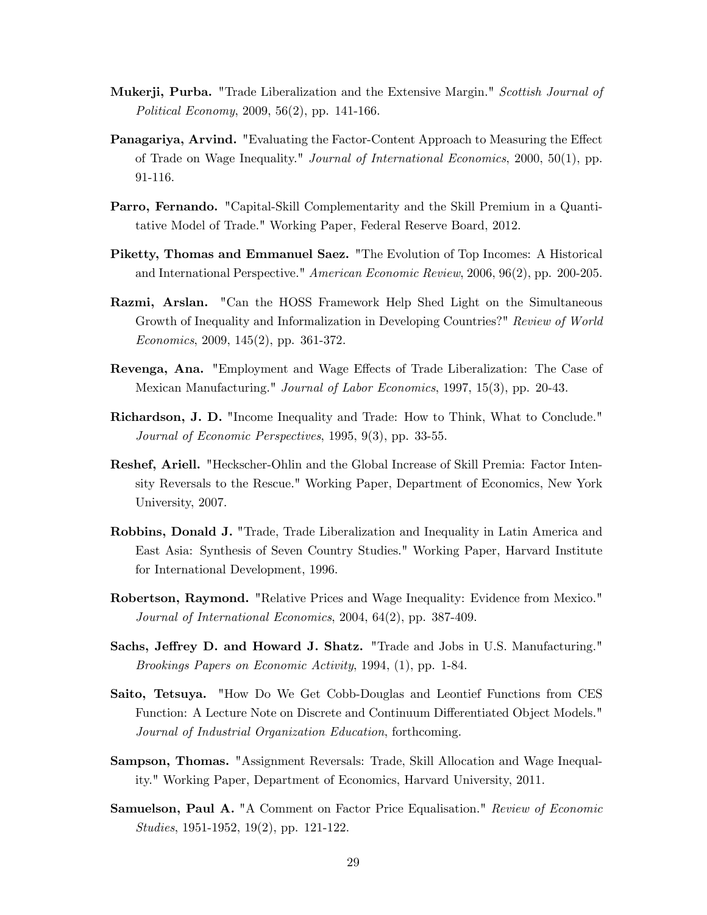- Mukerji, Purba. "Trade Liberalization and the Extensive Margin." Scottish Journal of Political Economy, 2009, 56(2), pp. 141-166.
- Panagariya, Arvind. "Evaluating the Factor-Content Approach to Measuring the Effect of Trade on Wage Inequality." Journal of International Economics, 2000, 50(1), pp. 91-116.
- Parro, Fernando. "Capital-Skill Complementarity and the Skill Premium in a Quantitative Model of Trade." Working Paper, Federal Reserve Board, 2012.
- Piketty, Thomas and Emmanuel Saez. "The Evolution of Top Incomes: A Historical and International Perspective." American Economic Review, 2006, 96(2), pp. 200-205.
- Razmi, Arslan. "Can the HOSS Framework Help Shed Light on the Simultaneous Growth of Inequality and Informalization in Developing Countries?" Review of World Economics, 2009, 145(2), pp. 361-372.
- Revenga, Ana. "Employment and Wage Effects of Trade Liberalization: The Case of Mexican Manufacturing." Journal of Labor Economics, 1997, 15(3), pp. 20-43.
- Richardson, J. D. "Income Inequality and Trade: How to Think, What to Conclude." Journal of Economic Perspectives, 1995, 9(3), pp. 33-55.
- Reshef, Ariell. "Heckscher-Ohlin and the Global Increase of Skill Premia: Factor Intensity Reversals to the Rescue." Working Paper, Department of Economics, New York University, 2007.
- Robbins, Donald J. "Trade, Trade Liberalization and Inequality in Latin America and East Asia: Synthesis of Seven Country Studies." Working Paper, Harvard Institute for International Development, 1996.
- Robertson, Raymond. "Relative Prices and Wage Inequality: Evidence from Mexico." Journal of International Economics, 2004, 64(2), pp. 387-409.
- Sachs, Jeffrey D. and Howard J. Shatz. "Trade and Jobs in U.S. Manufacturing." Brookings Papers on Economic Activity, 1994, (1), pp. 1-84.
- Saito, Tetsuya. "How Do We Get Cobb-Douglas and Leontief Functions from CES Function: A Lecture Note on Discrete and Continuum Differentiated Object Models." Journal of Industrial Organization Education, forthcoming.
- Sampson, Thomas. "Assignment Reversals: Trade, Skill Allocation and Wage Inequality." Working Paper, Department of Economics, Harvard University, 2011.
- Samuelson, Paul A. "A Comment on Factor Price Equalisation." Review of Economic Studies, 1951-1952, 19(2), pp. 121-122.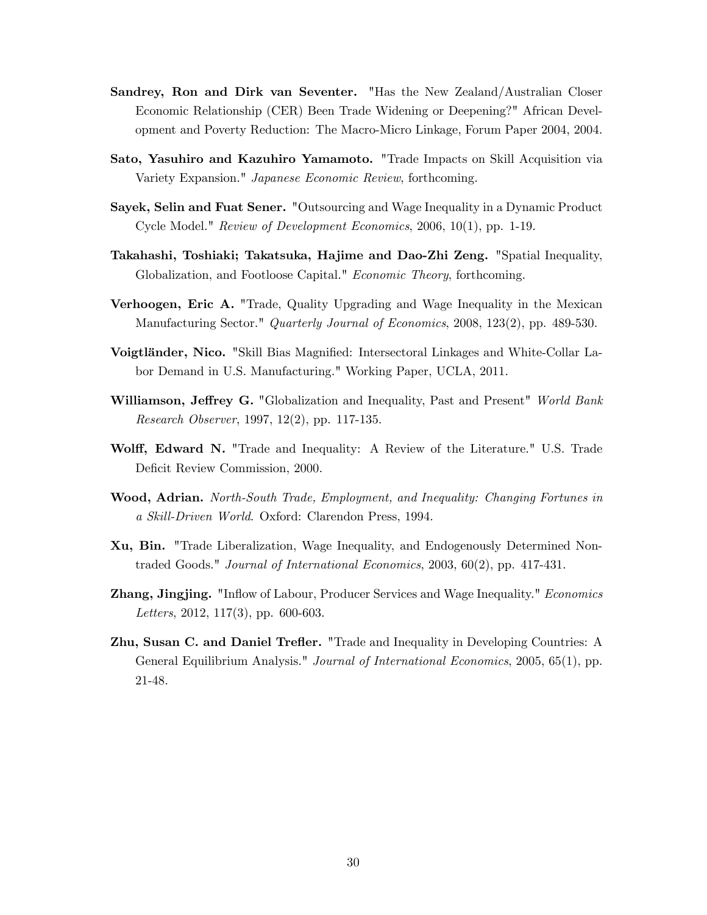- Sandrey, Ron and Dirk van Seventer. "Has the New Zealand/Australian Closer Economic Relationship (CER) Been Trade Widening or Deepening?" African Development and Poverty Reduction: The Macro-Micro Linkage, Forum Paper 2004, 2004.
- Sato, Yasuhiro and Kazuhiro Yamamoto. "Trade Impacts on Skill Acquisition via Variety Expansion." Japanese Economic Review, forthcoming.
- Sayek, Selin and Fuat Sener. "Outsourcing and Wage Inequality in a Dynamic Product Cycle Model." Review of Development Economics, 2006, 10(1), pp. 1-19.
- Takahashi, Toshiaki; Takatsuka, Hajime and Dao-Zhi Zeng. "Spatial Inequality, Globalization, and Footloose Capital." Economic Theory, forthcoming.
- Verhoogen, Eric A. "Trade, Quality Upgrading and Wage Inequality in the Mexican Manufacturing Sector." Quarterly Journal of Economics, 2008, 123(2), pp. 489-530.
- Voigtländer, Nico. "Skill Bias Magnified: Intersectoral Linkages and White-Collar Labor Demand in U.S. Manufacturing." Working Paper, UCLA, 2011.
- Williamson, Jeffrey G. "Globalization and Inequality, Past and Present" World Bank Research Observer, 1997, 12(2), pp. 117-135.
- Wolff, Edward N. "Trade and Inequality: A Review of the Literature." U.S. Trade Deficit Review Commission, 2000.
- Wood, Adrian. North-South Trade, Employment, and Inequality: Changing Fortunes in a Skill-Driven World. Oxford: Clarendon Press, 1994.
- Xu, Bin. "Trade Liberalization, Wage Inequality, and Endogenously Determined Nontraded Goods." Journal of International Economics, 2003, 60(2), pp. 417-431.
- **Zhang, Jingjing.** "Inflow of Labour, Producer Services and Wage Inequality." *Economics* Letters, 2012, 117(3), pp. 600-603.
- **Zhu, Susan C. and Daniel Trefler.** "Trade and Inequality in Developing Countries: A General Equilibrium Analysis." Journal of International Economics, 2005, 65(1), pp. 21-48.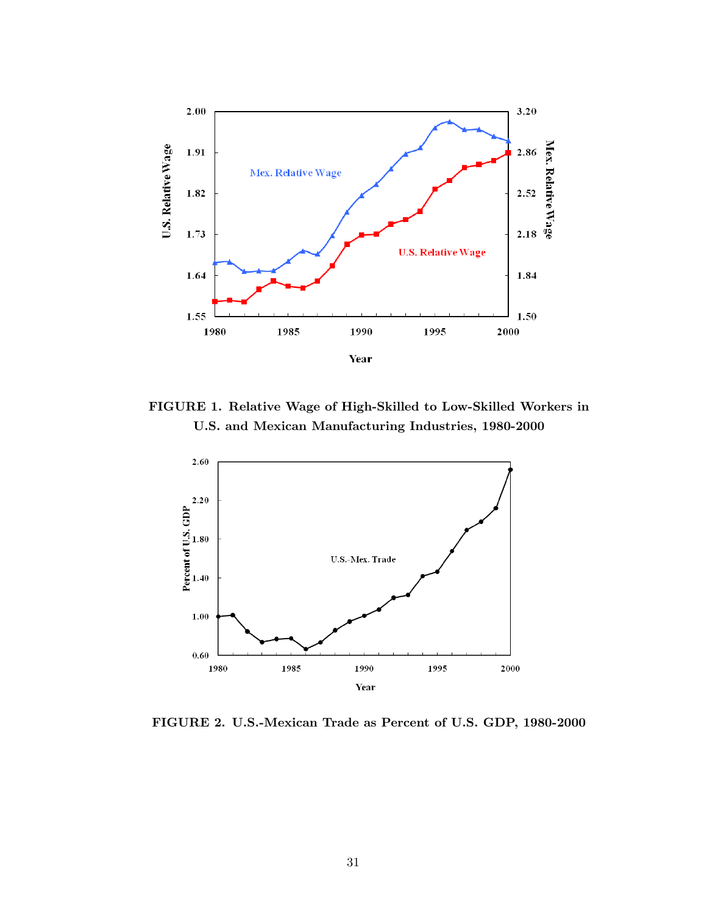

FIGURE 1. Relative Wage of High-Skilled to Low-Skilled Workers in U.S. and Mexican Manufacturing Industries, 1980-2000



FIGURE 2. U.S.-Mexican Trade as Percent of U.S. GDP, 1980-2000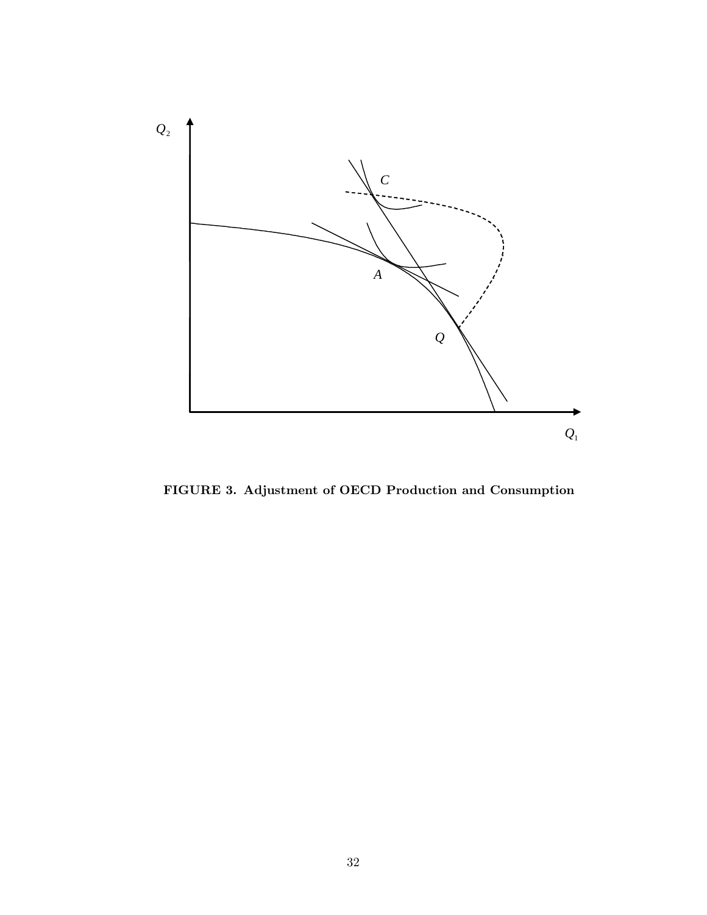

FIGURE 3. Adjustment of OECD Production and Consumption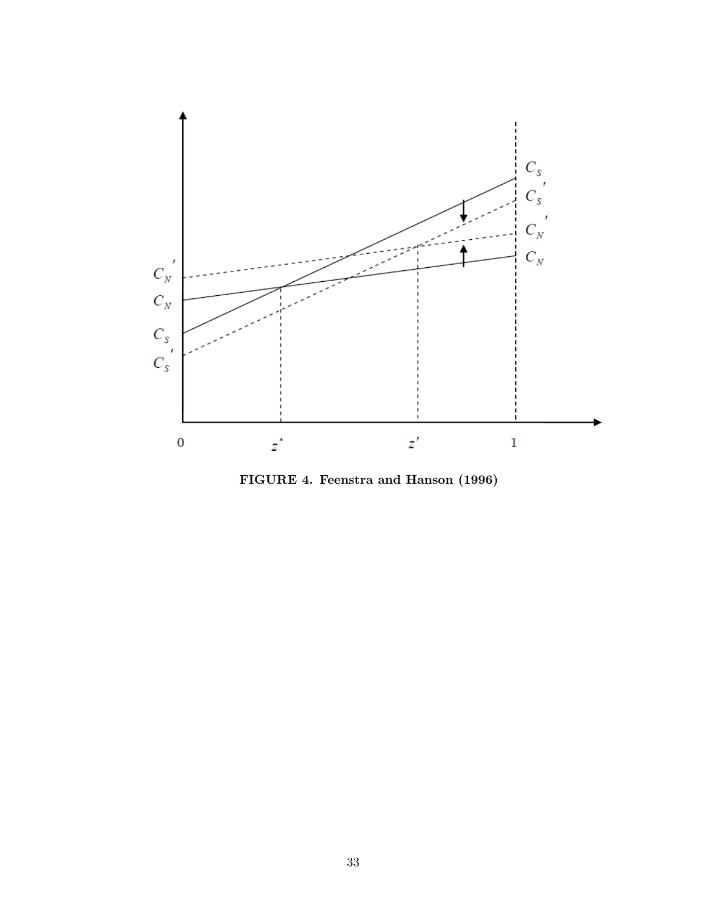

FIGURE 4. Feenstra and Hanson (1996)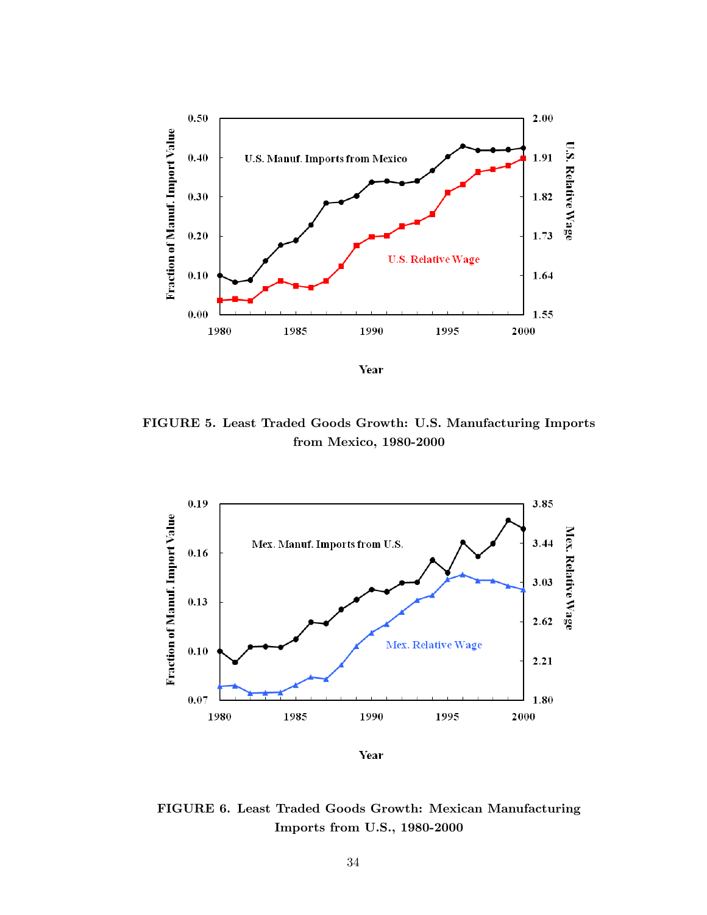

FIGURE 5. Least Traded Goods Growth: U.S. Manufacturing Imports from Mexico, 1980-2000



**Year** 

FIGURE 6. Least Traded Goods Growth: Mexican Manufacturing Imports from U.S., 1980-2000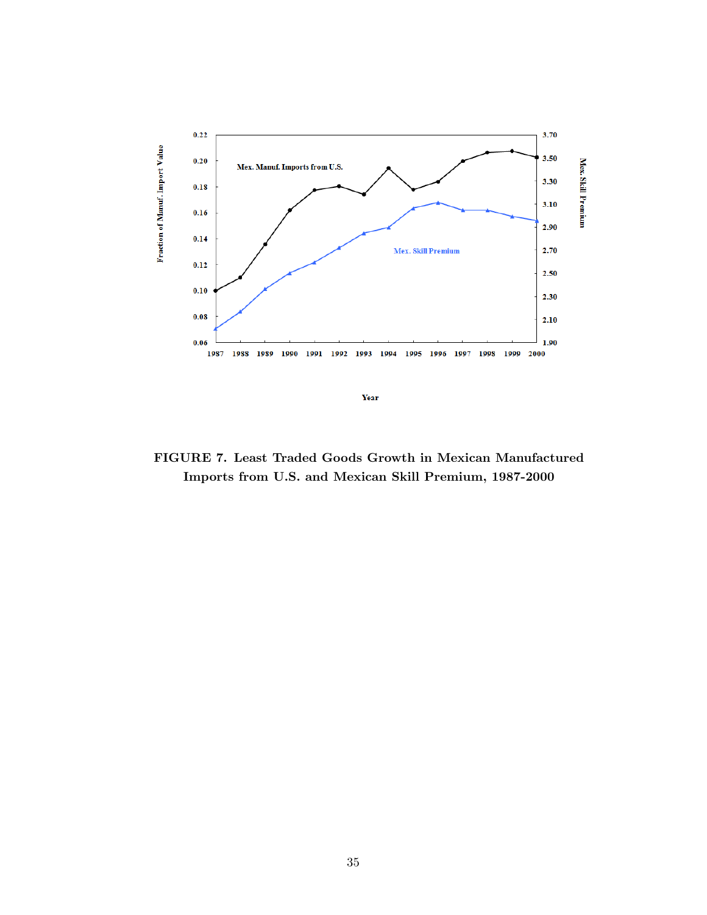

FIGURE 7. Least Traded Goods Growth in Mexican Manufactured Imports from U.S. and Mexican Skill Premium, 1987-2000